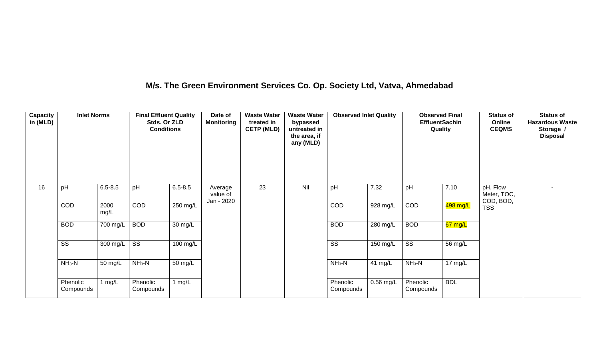## **M/s. The Green Environment Services Co. Op. Society Ltd, Vatva, Ahmedabad**

| Capacity<br>in (MLD) | <b>Inlet Norms</b>     |              | <b>Final Effluent Quality</b><br>Stds. Or ZLD<br><b>Conditions</b> |                    | Date of<br><b>Monitoring</b>      | <b>Waste Water</b><br>treated in<br><b>CETP (MLD)</b> | <b>Waste Water</b><br>bypassed<br>untreated in<br>the area, if<br>any (MLD) | <b>Observed Inlet Quality</b> |             | <b>Observed Final</b><br><b>EffluentSachin</b><br>Quality |                   | <b>Status of</b><br>Online<br><b>CEQMS</b> | <b>Status of</b><br><b>Hazardous Waste</b><br>Storage /<br><b>Disposal</b> |
|----------------------|------------------------|--------------|--------------------------------------------------------------------|--------------------|-----------------------------------|-------------------------------------------------------|-----------------------------------------------------------------------------|-------------------------------|-------------|-----------------------------------------------------------|-------------------|--------------------------------------------|----------------------------------------------------------------------------|
| 16                   | pH                     | $6.5 - 8.5$  | pH                                                                 | $6.5 - 8.5$        | Average<br>value of<br>Jan - 2020 | 23                                                    | Nil                                                                         | pH                            | 7.32        | pH                                                        | 7.10              | pH, Flow<br>Meter, TOC,<br>COD, BOD,       | ٠                                                                          |
|                      | COD                    | 2000<br>mg/L | COD                                                                | 250 mg/L           |                                   |                                                       |                                                                             | COD                           | 928 mg/L    | COD                                                       | 498 mg/L          | <b>TSS</b>                                 |                                                                            |
|                      | <b>BOD</b>             | 700 mg/L     | <b>BOD</b>                                                         | 30 mg/L            |                                   |                                                       |                                                                             | <b>BOD</b>                    | 280 mg/L    | <b>BOD</b>                                                | 67 mg/L           |                                            |                                                                            |
|                      | $\overline{\text{ss}}$ | 300 mg/L     | $\overline{\text{ss}}$                                             | $100 \text{ mg/L}$ |                                   |                                                       |                                                                             | $\overline{\text{ss}}$        | 150 mg/L    | $\overline{\text{SS}}$                                    | 56 mg/L           |                                            |                                                                            |
|                      | $NH3-N$                | 50 mg/L      | $NH3-N$                                                            | 50 mg/L            |                                   |                                                       |                                                                             | $NH_3-N$                      | 41 mg/L     | $NH3-N$                                                   | $17 \text{ mg/L}$ |                                            |                                                                            |
|                      | Phenolic<br>Compounds  | 1 mg/L       | Phenolic<br>Compounds                                              | 1 $mg/L$           |                                   |                                                       |                                                                             | Phenolic<br>Compounds         | $0.56$ mg/L | Phenolic<br>Compounds                                     | <b>BDL</b>        |                                            |                                                                            |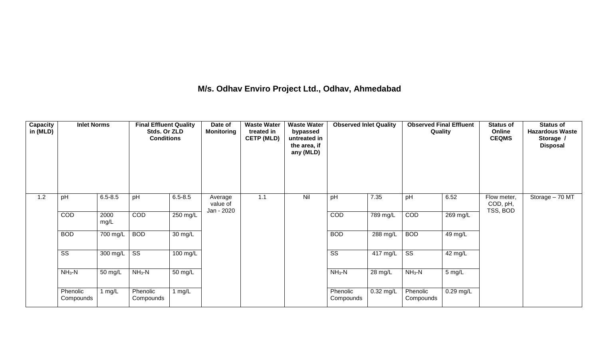## **M/s. Odhav Enviro Project Ltd., Odhav, Ahmedabad**

| Capacity<br>in (MLD) | <b>Inlet Norms</b>     |                  | <b>Final Effluent Quality</b><br>Stds. Or ZLD<br><b>Conditions</b> |                      | Date of<br><b>Monitoring</b>      | <b>Waste Water</b><br>treated in<br><b>CETP (MLD)</b> | <b>Waste Water</b><br>bypassed<br>untreated in<br>the area, if<br>any (MLD) | <b>Observed Inlet Quality</b> |                       | <b>Observed Final Effluent</b><br>Quality |                  | <b>Status of</b><br>Online<br><b>CEQMS</b> | <b>Status of</b><br><b>Hazardous Waste</b><br>Storage /<br><b>Disposal</b> |
|----------------------|------------------------|------------------|--------------------------------------------------------------------|----------------------|-----------------------------------|-------------------------------------------------------|-----------------------------------------------------------------------------|-------------------------------|-----------------------|-------------------------------------------|------------------|--------------------------------------------|----------------------------------------------------------------------------|
| 1.2                  | pH                     | $6.5 - 8.5$      | pH                                                                 | $6.5 - 8.5$          | Average<br>value of<br>Jan - 2020 | 1.1                                                   | Nil                                                                         | pH                            | 7.35                  | pH                                        | 6.52             | Flow meter,<br>COD, pH,<br>TSS, BOD        | Storage - 70 MT                                                            |
|                      | COD                    | 2000<br>mg/L     | COD                                                                | 250 mg/L             |                                   |                                                       |                                                                             | COD                           | $\overline{789}$ mg/L | COD                                       | $269$ mg/L       |                                            |                                                                            |
|                      | <b>BOD</b>             | 700 mg/L         | <b>BOD</b>                                                         | 30 mg/L              |                                   |                                                       |                                                                             | <b>BOD</b>                    | 288 mg/L              | <b>BOD</b>                                | 49 mg/L          |                                            |                                                                            |
|                      | $\overline{\text{ss}}$ | 300 mg/L $\vert$ | $\overline{\text{ss}}$                                             | $100$ mg/L           |                                   |                                                       |                                                                             | $\overline{\text{ss}}$        | 417 mg/L              | $\overline{\text{ss}}$                    | 42 mg/L          |                                            |                                                                            |
|                      | $NH3-N$                | 50 mg/L          | $NH3-N$                                                            | $\overline{50}$ mg/L |                                   |                                                       |                                                                             | $NH3-N$                       | 28 mg/L               | $NH3-N$                                   | $5 \text{ mg/L}$ |                                            |                                                                            |
|                      | Phenolic<br>Compounds  | 1 $mg/L$         | Phenolic<br>Compounds                                              | 1 $mg/L$             |                                   |                                                       |                                                                             | Phenolic<br>Compounds         | 0.32 mg/L             | Phenolic<br>Compounds                     | $0.29$ mg/L      |                                            |                                                                            |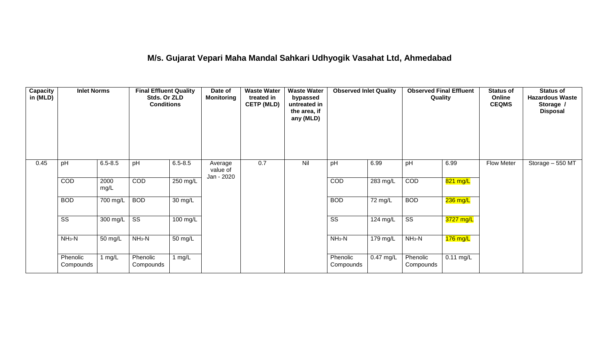## **M/s. Gujarat Vepari Maha Mandal Sahkari Udhyogik Vasahat Ltd, Ahmedabad**

| Capacity<br>in (MLD) | <b>Inlet Norms</b>     |              | <b>Final Effluent Quality</b><br>Stds. Or ZLD<br><b>Conditions</b> |                    | Date of<br><b>Monitoring</b>      | <b>Waste Water</b><br>treated in<br><b>CETP (MLD)</b> | <b>Waste Water</b><br>bypassed<br>untreated in<br>the area, if<br>any (MLD) | <b>Observed Inlet Quality</b> |             | <b>Observed Final Effluent</b><br>Quality |             | <b>Status of</b><br>Online<br><b>CEQMS</b> | <b>Status of</b><br><b>Hazardous Waste</b><br>Storage /<br><b>Disposal</b> |
|----------------------|------------------------|--------------|--------------------------------------------------------------------|--------------------|-----------------------------------|-------------------------------------------------------|-----------------------------------------------------------------------------|-------------------------------|-------------|-------------------------------------------|-------------|--------------------------------------------|----------------------------------------------------------------------------|
| 0.45                 | pH                     | $6.5 - 8.5$  | pH                                                                 | $6.5 - 8.5$        | Average<br>value of<br>Jan - 2020 | 0.7                                                   | Nil                                                                         | pH                            | 6.99        | pH                                        | 6.99        | <b>Flow Meter</b>                          | Storage - 550 MT                                                           |
|                      | COD                    | 2000<br>mg/L | COD                                                                | $250$ mg/L         |                                   |                                                       |                                                                             | COD                           | $283$ mg/L  | COD                                       | 821 mg/L    |                                            |                                                                            |
|                      | <b>BOD</b>             | 700 mg/L     | <b>BOD</b>                                                         | 30 mg/L            |                                   |                                                       |                                                                             | <b>BOD</b>                    | 72 mg/L     | <b>BOD</b>                                | $236$ mg/L  |                                            |                                                                            |
|                      | $\overline{\text{ss}}$ | 300 mg/L     | $\overline{\text{ss}}$                                             | $100 \text{ mg/L}$ |                                   |                                                       |                                                                             | $\overline{\text{ss}}$        | $124$ mg/L  | $\overline{\text{ss}}$                    | $3727$ mg/L |                                            |                                                                            |
|                      | $NH3-N$                | 50 mg/L      | $NH3-N$                                                            | 50 mg/L            |                                   |                                                       |                                                                             | $NH3-N$                       | 179 mg/L    | $NH3-N$                                   | $176$ mg/L  |                                            |                                                                            |
|                      | Phenolic<br>Compounds  | 1 mg/L       | Phenolic<br>Compounds                                              | 1 mg/L             |                                   |                                                       |                                                                             | Phenolic<br>Compounds         | $0.47$ mg/L | Phenolic<br>Compounds                     | $0.11$ mg/L |                                            |                                                                            |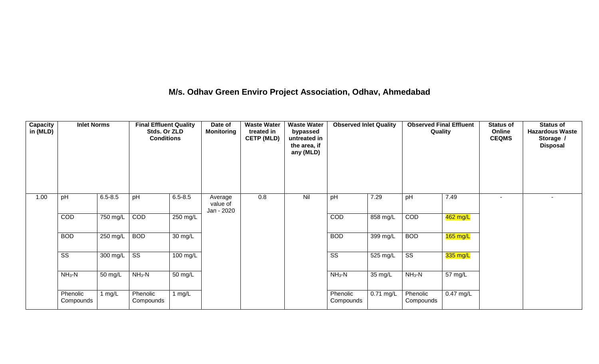## **M/s. Odhav Green Enviro Project Association, Odhav, Ahmedabad**

| Capacity<br>in (MLD) | <b>Inlet Norms</b>     |             | <b>Final Effluent Quality</b><br>Stds. Or ZLD<br><b>Conditions</b> |                      | Date of<br><b>Monitoring</b>      | <b>Waste Water</b><br>treated in<br><b>CETP (MLD)</b> | <b>Waste Water</b><br>bypassed<br>untreated in<br>the area, if<br>any (MLD) | <b>Observed Inlet Quality</b> |             | <b>Observed Final Effluent</b><br>Quality |             | <b>Status of</b><br>Online<br><b>CEQMS</b> | <b>Status of</b><br><b>Hazardous Waste</b><br>Storage /<br><b>Disposal</b> |
|----------------------|------------------------|-------------|--------------------------------------------------------------------|----------------------|-----------------------------------|-------------------------------------------------------|-----------------------------------------------------------------------------|-------------------------------|-------------|-------------------------------------------|-------------|--------------------------------------------|----------------------------------------------------------------------------|
| 1.00                 | pH                     | $6.5 - 8.5$ | pH                                                                 | $6.5 - 8.5$          | Average<br>value of<br>Jan - 2020 | 0.8                                                   | Nil                                                                         | pH                            | 7.29        | pH                                        | 7.49        |                                            | $\overline{\phantom{a}}$                                                   |
|                      | COD                    | 750 mg/L    | COD                                                                | $250$ mg/L           |                                   |                                                       |                                                                             | COD                           | 858 mg/L    | COD                                       | 462 mg/L    |                                            |                                                                            |
|                      | <b>BOD</b>             | 250 mg/L    | <b>BOD</b>                                                         | 30 mg/L              |                                   |                                                       |                                                                             | <b>BOD</b>                    | 399 mg/L    | <b>BOD</b>                                | $165$ mg/L  |                                            |                                                                            |
|                      | $\overline{\text{ss}}$ | 300 mg/L    | $\overline{\text{ss}}$                                             | 100 mg/L             |                                   |                                                       |                                                                             | SS                            | 525 mg/L    | $\overline{\text{ss}}$                    | 335 mg/L    |                                            |                                                                            |
|                      | $NH_3-N$               | 50 mg/L     | $NH3-N$                                                            | $\overline{50}$ mg/L |                                   |                                                       |                                                                             | $NH_3-N$                      | 35 mg/L     | $NH3-N$                                   | 57 mg/L     |                                            |                                                                            |
|                      | Phenolic<br>Compounds  | 1 $mg/L$    | Phenolic<br>Compounds                                              | 1 $mg/L$             |                                   |                                                       |                                                                             | Phenolic<br>Compounds         | $0.71$ mg/L | Phenolic<br>Compounds                     | $0.47$ mg/L |                                            |                                                                            |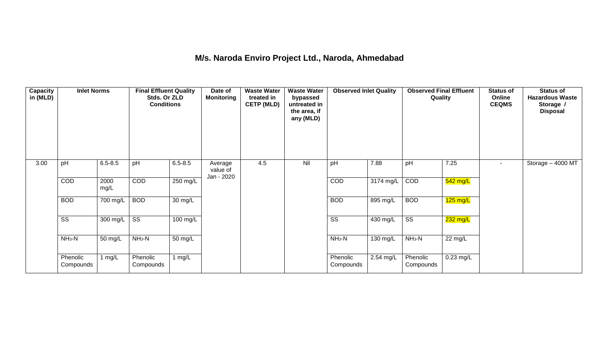### **M/s. Naroda Enviro Project Ltd., Naroda, Ahmedabad**

| <b>Capacity</b><br>in (MLD) | <b>Inlet Norms</b>     |                      | <b>Final Effluent Quality</b><br>Stds. Or ZLD<br><b>Conditions</b> |                   | Date of<br><b>Monitoring</b>      | <b>Waste Water</b><br>treated in<br><b>CETP (MLD)</b> | <b>Waste Water</b><br>bypassed<br>untreated in<br>the area, if<br>any (MLD) | <b>Observed Inlet Quality</b> |           | <b>Observed Final Effluent</b><br>Quality |             | <b>Status of</b><br>Online<br><b>CEQMS</b> | <b>Status of</b><br><b>Hazardous Waste</b><br>Storage /<br><b>Disposal</b> |
|-----------------------------|------------------------|----------------------|--------------------------------------------------------------------|-------------------|-----------------------------------|-------------------------------------------------------|-----------------------------------------------------------------------------|-------------------------------|-----------|-------------------------------------------|-------------|--------------------------------------------|----------------------------------------------------------------------------|
| 3.00                        | pH                     | $6.5 - 8.5$          | pH                                                                 | $6.5 - 8.5$       | Average<br>value of<br>Jan - 2020 | 4.5                                                   | Nil                                                                         | pH                            | 7.88      | pH                                        | 7.25        | $\sim$                                     | Storage - 4000 MT                                                          |
|                             | COD                    | 2000<br>mg/L         | COD                                                                | 250 mg/L          |                                   |                                                       |                                                                             | COD                           | 3174 mg/L | COD                                       | $542$ mg/L  |                                            |                                                                            |
|                             | <b>BOD</b>             | 700 mg/L             | <b>BOD</b>                                                         | $30 \text{ mg/L}$ |                                   |                                                       |                                                                             | <b>BOD</b>                    | 895 mg/L  | <b>BOD</b>                                | $125$ mg/L  |                                            |                                                                            |
|                             | $\overline{\text{ss}}$ | $300 \text{ mg/L}$   | $\overline{\text{ss}}$                                             | $100$ mg/L        |                                   |                                                       |                                                                             | $\overline{\text{ss}}$        | 430 mg/L  | $\overline{\text{ss}}$                    | 232 mg/L    |                                            |                                                                            |
|                             | $NH3-N$                | $\overline{50}$ mg/L | $NH3-N$                                                            | 50 mg/L           |                                   |                                                       |                                                                             | $NH_3-N$                      | 130 mg/L  | $NH3-N$                                   | 22 mg/L     |                                            |                                                                            |
|                             | Phenolic<br>Compounds  | 1 $mg/L$             | Phenolic<br>Compounds                                              | 1 $mg/L$          |                                   |                                                       |                                                                             | Phenolic<br>Compounds         | 2.54 mg/L | Phenolic<br>Compounds                     | $0.23$ mg/L |                                            |                                                                            |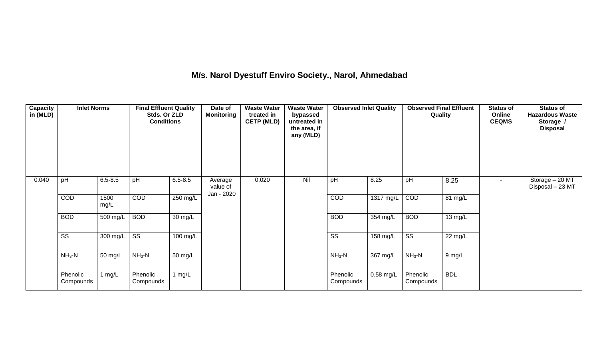## **M/s. Narol Dyestuff Enviro Society., Narol, Ahmedabad**

| <b>Capacity</b><br>in (MLD) | <b>Inlet Norms</b>     |              | <b>Final Effluent Quality</b><br>Stds. Or ZLD<br><b>Conditions</b> |                      | Date of<br><b>Monitoring</b>      | <b>Waste Water</b><br>treated in<br><b>CETP (MLD)</b> | <b>Waste Water</b><br>bypassed<br>untreated in<br>the area, if<br>any (MLD) | <b>Observed Inlet Quality</b> |             | <b>Observed Final Effluent</b><br>Quality |            | <b>Status of</b><br>Online<br><b>CEQMS</b> | <b>Status of</b><br><b>Hazardous Waste</b><br>Storage /<br><b>Disposal</b> |
|-----------------------------|------------------------|--------------|--------------------------------------------------------------------|----------------------|-----------------------------------|-------------------------------------------------------|-----------------------------------------------------------------------------|-------------------------------|-------------|-------------------------------------------|------------|--------------------------------------------|----------------------------------------------------------------------------|
| 0.040                       | pH                     | $6.5 - 8.5$  | pH                                                                 | $6.5 - 8.5$          | Average<br>value of<br>Jan - 2020 | 0.020                                                 | Nil                                                                         | pH                            | 8.25        | pH                                        | 8.25       | $\overline{\phantom{a}}$                   | Storage - 20 MT<br>Disposal - 23 MT                                        |
|                             | COD                    | 1500<br>mg/L | COD                                                                | 250 mg/L             |                                   |                                                       |                                                                             | COD                           | 1317 mg/L   | COD                                       | 81 mg/L    |                                            |                                                                            |
|                             | <b>BOD</b>             | $500$ mg/L   | <b>BOD</b>                                                         | $\overline{30}$ mg/L |                                   |                                                       |                                                                             | <b>BOD</b>                    | 354 mg/L    | <b>BOD</b>                                | 13 mg/L    |                                            |                                                                            |
|                             | $\overline{\text{ss}}$ | 300 mg/L     | $\overline{\text{ss}}$                                             | 100 mg/L             |                                   |                                                       |                                                                             | $\overline{\text{SS}}$        | 158 mg/L    | $\overline{\text{ss}}$                    | 22 mg/L    |                                            |                                                                            |
|                             | $NH3-N$                | 50 mg/L      | $NH3-N$                                                            | $\overline{50}$ mg/L |                                   |                                                       |                                                                             | $NH3-N$                       | 367 mg/L    | $NH3-N$                                   | 9 mg/L     |                                            |                                                                            |
|                             | Phenolic<br>Compounds  | $\log/L$     | Phenolic<br>Compounds                                              | 1 $mg/L$             |                                   |                                                       |                                                                             | Phenolic<br>Compounds         | $0.58$ mg/L | Phenolic<br>Compounds                     | <b>BDL</b> |                                            |                                                                            |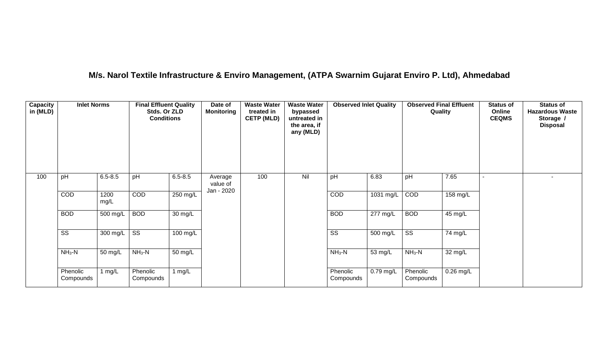## **M/s. Narol Textile Infrastructure & Enviro Management, (ATPA Swarnim Gujarat Enviro P. Ltd), Ahmedabad**

| <b>Capacity</b><br>in (MLD) | <b>Inlet Norms</b>     |                       | <b>Final Effluent Quality</b><br>Stds. Or ZLD<br><b>Conditions</b> |                    | Date of<br><b>Monitoring</b>      | <b>Waste Water</b><br>treated in<br><b>CETP (MLD)</b> | <b>Waste Water</b><br>bypassed<br>untreated in<br>the area, if<br>any (MLD) | <b>Observed Inlet Quality</b> |                       | <b>Observed Final Effluent</b><br>Quality |             | <b>Status of</b><br>Online<br><b>CEQMS</b> | <b>Status of</b><br><b>Hazardous Waste</b><br>Storage /<br><b>Disposal</b> |
|-----------------------------|------------------------|-----------------------|--------------------------------------------------------------------|--------------------|-----------------------------------|-------------------------------------------------------|-----------------------------------------------------------------------------|-------------------------------|-----------------------|-------------------------------------------|-------------|--------------------------------------------|----------------------------------------------------------------------------|
| 100                         | pH                     | $6.5 - 8.5$           | pH                                                                 | $6.5 - 8.5$        | Average<br>value of<br>Jan - 2020 | 100                                                   | Nil                                                                         | pH                            | 6.83                  | pH                                        | 7.65        |                                            |                                                                            |
|                             | COD                    | 1200<br>mg/L          | COD                                                                | 250 mg/L           |                                   |                                                       |                                                                             | COD                           | 1031 mg/L             | COD                                       | 158 mg/L    |                                            |                                                                            |
|                             | <b>BOD</b>             | 500 mg/L              | <b>BOD</b>                                                         | 30 mg/L            |                                   |                                                       |                                                                             | <b>BOD</b>                    | $\overline{277}$ mg/L | <b>BOD</b>                                | 45 mg/L     |                                            |                                                                            |
|                             | $\overline{\text{ss}}$ | $\overline{300}$ mg/L | $\overline{\text{ss}}$                                             | $100 \text{ mg/L}$ |                                   |                                                       |                                                                             | $\overline{\text{ss}}$        | 500 mg/L              | $\overline{\text{ss}}$                    | 74 mg/L     |                                            |                                                                            |
|                             | $NH3-N$                | 50 mg/L               | $NH3-N$                                                            | 50 mg/L            |                                   |                                                       |                                                                             | $NH3-N$                       | 53 mg/L               | $NH_3-N$                                  | 32 mg/L     |                                            |                                                                            |
|                             | Phenolic<br>Compounds  | 1 mg/L                | Phenolic<br>Compounds                                              | 1 $mg/L$           |                                   |                                                       |                                                                             | Phenolic<br>Compounds         | $0.79$ mg/L           | Phenolic<br>Compounds                     | $0.26$ mg/L |                                            |                                                                            |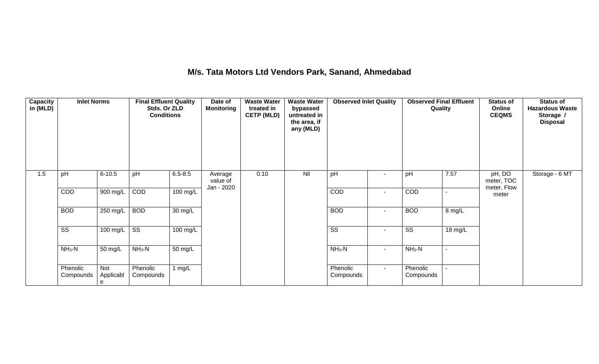## **M/s. Tata Motors Ltd Vendors Park, Sanand, Ahmedabad**

| Capacity<br>in (MLD) | <b>Inlet Norms</b>     |                       | <b>Final Effluent Quality</b><br>Stds. Or ZLD<br><b>Conditions</b> |                      | Date of<br><b>Monitoring</b>      | <b>Waste Water</b><br>treated in<br><b>CETP (MLD)</b> | <b>Waste Water</b><br>bypassed<br>untreated in<br>the area, if<br>any (MLD) | <b>Observed Inlet Quality</b> |        | <b>Observed Final Effluent</b><br>Quality |         | <b>Status of</b><br>Online<br><b>CEQMS</b> | <b>Status of</b><br><b>Hazardous Waste</b><br>Storage /<br><b>Disposal</b> |
|----------------------|------------------------|-----------------------|--------------------------------------------------------------------|----------------------|-----------------------------------|-------------------------------------------------------|-----------------------------------------------------------------------------|-------------------------------|--------|-------------------------------------------|---------|--------------------------------------------|----------------------------------------------------------------------------|
| 1.5                  | pH                     | $6 - 10.5$            | pH                                                                 | $6.5 - 8.5$          | Average<br>value of<br>Jan - 2020 | 0.10                                                  | Nil                                                                         | pH                            | $\sim$ | pH                                        | 7.57    | pH, DO<br>meter, TOC<br>meter, Flow        | Storage - 6 MT                                                             |
|                      | COD                    | 900 mg/L              | COD                                                                | 100 mg/L             |                                   |                                                       |                                                                             | COD                           | $\sim$ | <b>COD</b>                                | ÷.      | meter                                      |                                                                            |
|                      | <b>BOD</b>             | 250 mg/L              | <b>BOD</b>                                                         | $\overline{30}$ mg/L |                                   |                                                       |                                                                             | <b>BOD</b>                    | $\sim$ | <b>BOD</b>                                | 8 mg/L  |                                            |                                                                            |
|                      | $\overline{\text{SS}}$ | 100 mg/L              | $\overline{\text{ss}}$                                             | 100 mg/L             |                                   |                                                       |                                                                             | $\overline{\text{SS}}$        | ٠      | $\overline{\text{SS}}$                    | 18 mg/L |                                            |                                                                            |
|                      | $NH3-N$                | 50 mg/L               | $NH3-N$                                                            | 50 mg/L              |                                   |                                                       |                                                                             | $NH_3-N$                      | $\sim$ | $NH3-N$                                   | $\sim$  |                                            |                                                                            |
|                      | Phenolic<br>Compounds  | Not<br>Applicabl<br>e | Phenolic<br>Compounds                                              | 1 $mg/L$             |                                   |                                                       |                                                                             | Phenolic<br>Compounds         | $\sim$ | Phenolic<br>Compounds                     |         |                                            |                                                                            |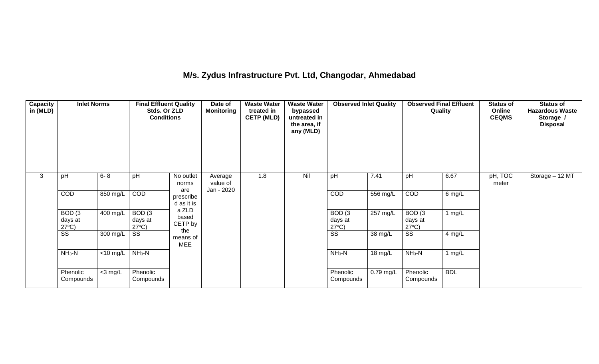## **M/s. Zydus Infrastructure Pvt. Ltd, Changodar, Ahmedabad**

| Capacity<br>in (MLD) | <b>Inlet Norms</b>                              |                               | <b>Final Effluent Quality</b><br>Stds. Or ZLD<br><b>Conditions</b> |                                | Date of<br><b>Monitoring</b>      | <b>Waste Water</b><br>treated in<br><b>CETP (MLD)</b> | <b>Waste Water</b><br>bypassed<br>untreated in<br>the area, if<br>any (MLD) | <b>Observed Inlet Quality</b>                   |                    | <b>Observed Final Effluent</b><br>Quality |            | <b>Status of</b><br>Online<br><b>CEQMS</b> | <b>Status of</b><br><b>Hazardous Waste</b><br>Storage /<br><b>Disposal</b> |
|----------------------|-------------------------------------------------|-------------------------------|--------------------------------------------------------------------|--------------------------------|-----------------------------------|-------------------------------------------------------|-----------------------------------------------------------------------------|-------------------------------------------------|--------------------|-------------------------------------------|------------|--------------------------------------------|----------------------------------------------------------------------------|
| 3                    | pH                                              | $6 - 8$                       | pH                                                                 | No outlet<br>norms             | Average<br>value of<br>Jan - 2020 | 1.8                                                   | Nil                                                                         | pH                                              | 7.41               | pH                                        | 6.67       | pH, TOC<br>meter                           | Storage - 12 MT                                                            |
|                      | COD                                             | 850 mg/L                      | COD                                                                | are<br>prescribe<br>d as it is |                                   |                                                       |                                                                             | <b>COD</b>                                      | 556 mg/L           | COD                                       | 6 mg/L     |                                            |                                                                            |
|                      | BOD <sub>(3</sub><br>days at<br>$27^{\circ}C$ ) | 400 mg/L                      | BOD <sub>(3</sub><br>days at<br>$27^{\circ}C$ )                    | a ZLD<br>based<br>CETP by      |                                   |                                                       |                                                                             | BOD <sub>(3</sub><br>days at<br>$27^{\circ}C$ ) | $257 \text{ mg/L}$ | BOD(3)<br>days at<br>$27^{\circ}C$ )      | 1 $mg/L$   |                                            |                                                                            |
|                      | SS                                              | 300 mg/L                      | SS                                                                 | the<br>means of<br><b>MEE</b>  |                                   |                                                       |                                                                             | $\overline{\text{SS}}$                          | 38 mg/L            | SS                                        | 4 mg/L     |                                            |                                                                            |
|                      | $NH3-N$                                         | $\overline{<}10 \text{ mg/L}$ | $NH3-N$                                                            |                                |                                   |                                                       |                                                                             | $NH3-N$                                         | 18 mg/L            | $NH3-N$                                   | 1 $mg/L$   |                                            |                                                                            |
|                      | Phenolic<br>Compounds                           | $<$ 3 mg/L                    | Phenolic<br>Compounds                                              |                                |                                   |                                                       |                                                                             | Phenolic<br>Compounds                           | $0.79$ mg/L        | Phenolic<br>Compounds                     | <b>BDL</b> |                                            |                                                                            |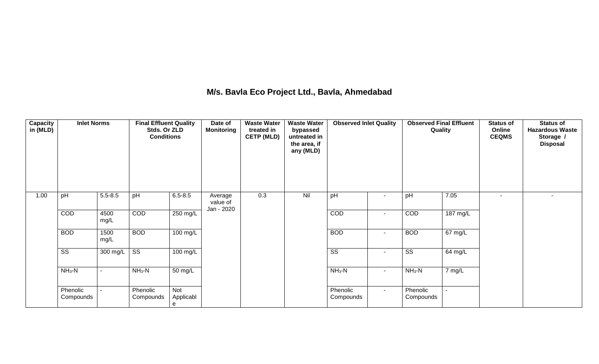## **M/s. Bavla Eco Project Ltd., Bavla, Ahmedabad**

| Capacity<br>in (MLD) | <b>Inlet Norms</b>     |                          | <b>Final Effluent Quality</b><br>Stds. Or ZLD<br><b>Conditions</b> |                              | Date of<br><b>Monitoring</b> | <b>Waste Water</b><br>treated in<br><b>CETP (MLD)</b> | <b>Waste Water</b><br>bypassed<br>untreated in<br>the area, if<br>any (MLD) | <b>Observed Inlet Quality</b> |        | <b>Observed Final Effluent</b><br>Quality |                   | <b>Status of</b><br>Online<br><b>CEQMS</b> | <b>Status of</b><br><b>Hazardous Waste</b><br>Storage /<br><b>Disposal</b> |
|----------------------|------------------------|--------------------------|--------------------------------------------------------------------|------------------------------|------------------------------|-------------------------------------------------------|-----------------------------------------------------------------------------|-------------------------------|--------|-------------------------------------------|-------------------|--------------------------------------------|----------------------------------------------------------------------------|
| 1.00                 | pH                     | $5.5 - 8.5$              | pH                                                                 | $6.5 - 8.5$                  | Average<br>value of          | 0.3                                                   | Nil                                                                         | pH                            | $\sim$ | pH                                        | 7.05              | $\overline{\phantom{a}}$                   | $\overline{\phantom{a}}$                                                   |
|                      | <b>COD</b>             | 4500<br>mg/L             | COD                                                                | 250 mg/L                     | Jan - 2020                   |                                                       |                                                                             | COD                           | $\sim$ | COD                                       | 187 mg/L          |                                            |                                                                            |
|                      | <b>BOD</b>             | 1500<br>mg/L             | <b>BOD</b>                                                         | 100 mg/L                     |                              |                                                       |                                                                             | <b>BOD</b>                    | $\sim$ | <b>BOD</b>                                | $67 \text{ mg/L}$ |                                            |                                                                            |
|                      | $\overline{\text{SS}}$ | 300 mg/L                 | $\overline{\text{ss}}$                                             | 100 mg/L                     |                              |                                                       |                                                                             | $\overline{\text{ss}}$        | $\sim$ | $\overline{\text{SS}}$                    | 64 mg/L           |                                            |                                                                            |
|                      | $NH3-N$                | $\overline{\phantom{0}}$ | $NH_3-N$                                                           | 50 mg/L                      |                              |                                                       |                                                                             | $NH_3-N$                      | $\sim$ | $NH3-N$                                   | 7 mg/L            |                                            |                                                                            |
|                      | Phenolic<br>Compounds  | $\overline{\phantom{0}}$ | Phenolic<br>Compounds                                              | <b>Not</b><br>Applicabl<br>e |                              |                                                       |                                                                             | Phenolic<br>Compounds         | $\sim$ | Phenolic<br>Compounds                     |                   |                                            |                                                                            |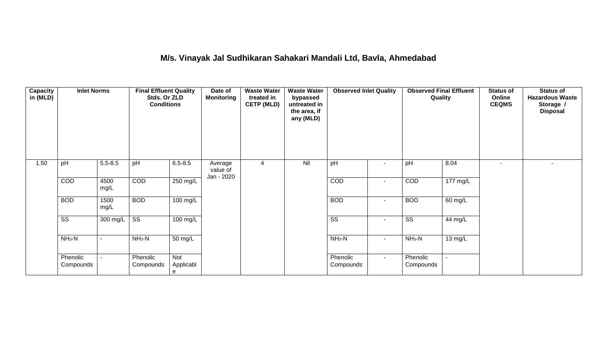## **M/s. Vinayak Jal Sudhikaran Sahakari Mandali Ltd, Bavla, Ahmedabad**

| Capacity<br>in (MLD) | <b>Inlet Norms</b>     |                | <b>Final Effluent Quality</b><br>Stds. Or ZLD<br><b>Conditions</b> |                       | Date of<br><b>Monitoring</b>      | <b>Waste Water</b><br>treated in<br><b>CETP (MLD)</b> | <b>Waste Water</b><br>bypassed<br>untreated in<br>the area, if<br>any (MLD) | <b>Observed Inlet Quality</b> |                          | <b>Observed Final Effluent</b><br>Quality |          | <b>Status of</b><br>Online<br><b>CEQMS</b> | <b>Status of</b><br><b>Hazardous Waste</b><br>Storage /<br><b>Disposal</b> |
|----------------------|------------------------|----------------|--------------------------------------------------------------------|-----------------------|-----------------------------------|-------------------------------------------------------|-----------------------------------------------------------------------------|-------------------------------|--------------------------|-------------------------------------------|----------|--------------------------------------------|----------------------------------------------------------------------------|
| 1.50                 | pH                     | $5.5 - 8.5$    | pH                                                                 | $6.5 - 8.5$           | Average<br>value of<br>Jan - 2020 | 4                                                     | Nil                                                                         | pH                            | $\blacksquare$           | pH                                        | 8.04     |                                            | $\overline{\phantom{a}}$                                                   |
|                      | <b>COD</b>             | 4500<br>mg/L   | COD                                                                | 250 mg/L              |                                   |                                                       |                                                                             | COD                           | $\overline{\phantom{a}}$ | COD                                       | 177 mg/L |                                            |                                                                            |
|                      | <b>BOD</b>             | 1500<br>mg/L   | <b>BOD</b>                                                         | 100 mg/L              |                                   |                                                       |                                                                             | <b>BOD</b>                    | $\blacksquare$           | <b>BOD</b>                                | 60 mg/L  |                                            |                                                                            |
|                      | $\overline{\text{ss}}$ | 300 mg/L       | $\overline{\text{SS}}$                                             | 100 mg/L              |                                   |                                                       |                                                                             | $\overline{\text{SS}}$        | $\blacksquare$           | $\overline{\text{ss}}$                    | 44 mg/L  |                                            |                                                                            |
|                      | $NH3-N$                | $\blacksquare$ | $NH3-N$                                                            | 50 mg/L               |                                   |                                                       |                                                                             | $NH_3-N$                      | $\sim$                   | $NH3-N$                                   | 13 mg/L  |                                            |                                                                            |
|                      | Phenolic<br>Compounds  | $\blacksquare$ | Phenolic<br>Compounds                                              | Not<br>Applicabl<br>е |                                   |                                                       |                                                                             | Phenolic<br>Compounds         | $\sim$                   | Phenolic<br>Compounds                     |          |                                            |                                                                            |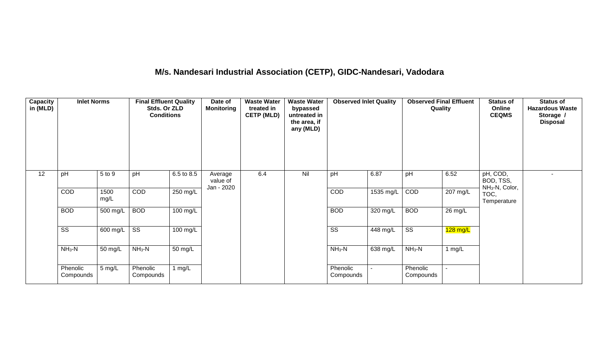# **M/s. Nandesari Industrial Association (CETP), GIDC-Nandesari, Vadodara**

| <b>Capacity</b><br>in (MLD) | <b>Inlet Norms</b>     |              | <b>Final Effluent Quality</b><br>Stds. Or ZLD<br><b>Conditions</b> |                       | Date of<br><b>Monitoring</b>      | <b>Waste Water</b><br>treated in<br><b>CETP (MLD)</b> | <b>Waste Water</b><br>bypassed<br>untreated in<br>the area, if<br>any (MLD) | <b>Observed Inlet Quality</b> |            | <b>Observed Final Effluent</b><br>Quality |                   | <b>Status of</b><br>Online<br><b>CEQMS</b>          | <b>Status of</b><br><b>Hazardous Waste</b><br>Storage /<br><b>Disposal</b> |
|-----------------------------|------------------------|--------------|--------------------------------------------------------------------|-----------------------|-----------------------------------|-------------------------------------------------------|-----------------------------------------------------------------------------|-------------------------------|------------|-------------------------------------------|-------------------|-----------------------------------------------------|----------------------------------------------------------------------------|
| 12                          | pH                     | 5 to 9       | pH                                                                 | 6.5 to 8.5            | Average<br>value of<br>Jan - 2020 | 6.4                                                   | Nil                                                                         | pH                            | 6.87       | pH                                        | 6.52              | pH, COD,<br>BOD, TSS,<br>NH <sub>3</sub> -N, Color, |                                                                            |
|                             | COD                    | 1500<br>mg/L | COD                                                                | 250 mg/L              |                                   |                                                       |                                                                             | COD                           | 1535 mg/L  | COD                                       | 207 mg/L          | TOC,<br>Temperature                                 |                                                                            |
|                             | <b>BOD</b>             | $500$ mg/L   | <b>BOD</b>                                                         | $100 \text{ mg/L}$    |                                   |                                                       |                                                                             | <b>BOD</b>                    | $320$ mg/L | <b>BOD</b>                                | $26 \text{ mg/L}$ |                                                     |                                                                            |
|                             | $\overline{\text{ss}}$ | 600 mg/L     | $\overline{\text{ss}}$                                             | $\overline{100}$ mg/L |                                   |                                                       |                                                                             | $\overline{\text{ss}}$        | $448$ mg/L | $\overline{\text{ss}}$                    | $128$ mg/L        |                                                     |                                                                            |
|                             | $NH3-N$                | 50 mg/L      | $NH3-N$                                                            | 50 mg/L               |                                   |                                                       |                                                                             | $NH3-N$                       | 638 mg/L   | $NH3-N$                                   | 1 mg/L            |                                                     |                                                                            |
|                             | Phenolic<br>Compounds  | 5 mg/L       | Phenolic<br>Compounds                                              | 1 mg/ $L$             |                                   |                                                       |                                                                             | Phenolic<br>Compounds         |            | Phenolic<br>Compounds                     |                   |                                                     |                                                                            |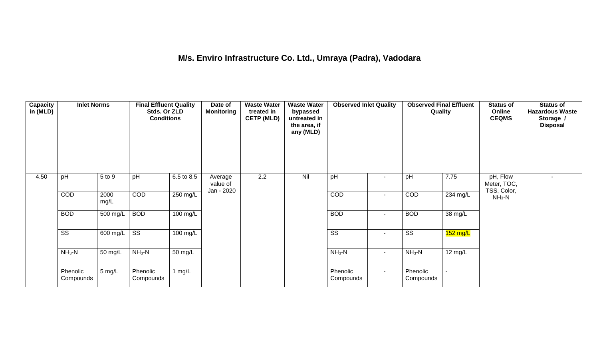## **M/s. Enviro Infrastructure Co. Ltd., Umraya (Padra), Vadodara**

| Capacity<br>in (MLD) | <b>Inlet Norms</b>     |                       | <b>Final Effluent Quality</b><br>Stds. Or ZLD<br><b>Conditions</b> |            | Date of<br><b>Monitoring</b>      | <b>Waste Water</b><br>treated in<br><b>CETP (MLD)</b> | <b>Waste Water</b><br>bypassed<br>untreated in<br>the area, if<br>any (MLD) | <b>Observed Inlet Quality</b> |                          | <b>Observed Final Effluent</b><br>Quality |            | <b>Status of</b><br>Online<br><b>CEQMS</b> | <b>Status of</b><br><b>Hazardous Waste</b><br>Storage /<br><b>Disposal</b> |
|----------------------|------------------------|-----------------------|--------------------------------------------------------------------|------------|-----------------------------------|-------------------------------------------------------|-----------------------------------------------------------------------------|-------------------------------|--------------------------|-------------------------------------------|------------|--------------------------------------------|----------------------------------------------------------------------------|
| 4.50                 | pH                     | 5 to 9                | pH                                                                 | 6.5 to 8.5 | Average<br>value of<br>Jan - 2020 | 2.2                                                   | Nil                                                                         | pH                            |                          | pH                                        | 7.75       | pH, Flow<br>Meter, TOC,<br>TSS, Color,     |                                                                            |
|                      | COD                    | 2000<br>mg/L          | COD                                                                | 250 mg/L   |                                   |                                                       |                                                                             | COD                           | $\overline{\phantom{a}}$ | COD                                       | 234 mg/L   | $NH3-N$                                    |                                                                            |
|                      | <b>BOD</b>             | 500 mg/L              | <b>BOD</b>                                                         | $100$ mg/L |                                   |                                                       |                                                                             | <b>BOD</b>                    | $\overline{\phantom{a}}$ | <b>BOD</b>                                | 38 mg/L    |                                            |                                                                            |
|                      | $\overline{\text{ss}}$ | $\overline{600}$ mg/L | $\overline{\text{ss}}$                                             | $100$ mg/L |                                   |                                                       |                                                                             | $\overline{\text{ss}}$        | $\sim$                   | $\overline{\text{ss}}$                    | $152$ mg/L |                                            |                                                                            |
|                      | $NH3-N$                | 50 mg/L               | $NH3-N$                                                            | 50 mg/L    |                                   |                                                       |                                                                             | $NH3-N$                       | $\sim$                   | $NH_3-N$                                  | 12 mg/L    |                                            |                                                                            |
|                      | Phenolic<br>Compounds  | 5 mg/L                | Phenolic<br>Compounds                                              | 1 mg/ $L$  |                                   |                                                       |                                                                             | Phenolic<br>Compounds         | $\sim$                   | Phenolic<br>Compounds                     | $\sim$     |                                            |                                                                            |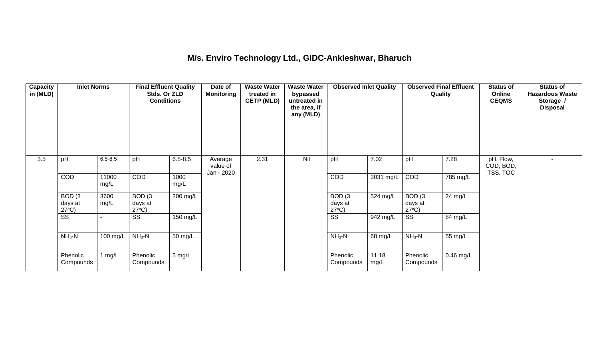### **M/s. Enviro Technology Ltd., GIDC-Ankleshwar, Bharuch**

| <b>Capacity</b><br>in (MLD) | <b>Inlet Norms</b>                              |               | <b>Final Effluent Quality</b><br>Stds. Or ZLD<br><b>Conditions</b> |              | Date of<br><b>Monitoring</b>      | <b>Waste Water</b><br>treated in<br><b>CETP (MLD)</b> | <b>Waste Water</b><br>bypassed<br>untreated in<br>the area, if<br>any (MLD) | <b>Observed Inlet Quality</b>        |               | <b>Observed Final Effluent</b><br>Quality |                   | <b>Status of</b><br>Online<br><b>CEQMS</b> | <b>Status of</b><br><b>Hazardous Waste</b><br>Storage /<br><b>Disposal</b> |
|-----------------------------|-------------------------------------------------|---------------|--------------------------------------------------------------------|--------------|-----------------------------------|-------------------------------------------------------|-----------------------------------------------------------------------------|--------------------------------------|---------------|-------------------------------------------|-------------------|--------------------------------------------|----------------------------------------------------------------------------|
| 3.5                         | pH                                              | $6.5 - 8.5$   | pH                                                                 | $6.5 - 8.5$  | Average<br>value of<br>Jan - 2020 | 2.31                                                  | Nil                                                                         | pH                                   | 7.02          | pH                                        | 7.28              | pH, Flow,<br>COD, BOD,<br>TSS, TOC         |                                                                            |
|                             | COD                                             | 11000<br>mg/L | <b>COD</b>                                                         | 1000<br>mg/L |                                   |                                                       |                                                                             | <b>COD</b>                           | 3031 mg/L     | COD                                       | 785 mg/L          |                                            |                                                                            |
|                             | BOD <sub>(3</sub><br>days at<br>$27^{\circ}C$ ) | 3600<br>mg/L  | BOD(3)<br>days at<br>$27^{\circ}C$ )                               | $200$ mg/L   |                                   |                                                       |                                                                             | BOD(3)<br>days at<br>$27^{\circ}C$ ) | 524 mg/L      | BOD(3)<br>days at<br>$27^{\circ}C$ )      | $24 \text{ mg/L}$ |                                            |                                                                            |
|                             | $\overline{\text{ss}}$                          |               | $\overline{\text{SS}}$                                             | 150 mg/L     |                                   |                                                       |                                                                             | $\overline{\text{ss}}$               | 942 mg/L      | $\overline{\text{ss}}$                    | 84 mg/L           |                                            |                                                                            |
|                             | $NH3-N$                                         | 100 mg/L      | $NH3-N$                                                            | 50 mg/L      |                                   |                                                       |                                                                             | $NH_3-N$                             | 68 mg/L       | $NH_3-N$                                  | 55 mg/L           |                                            |                                                                            |
|                             | Phenolic<br>Compounds                           | 1 $mg/L$      | Phenolic<br>Compounds                                              | 5 mg/L       |                                   |                                                       |                                                                             | Phenolic<br>Compounds                | 11.18<br>mg/L | Phenolic<br>Compounds                     | $0.46$ mg/L       |                                            |                                                                            |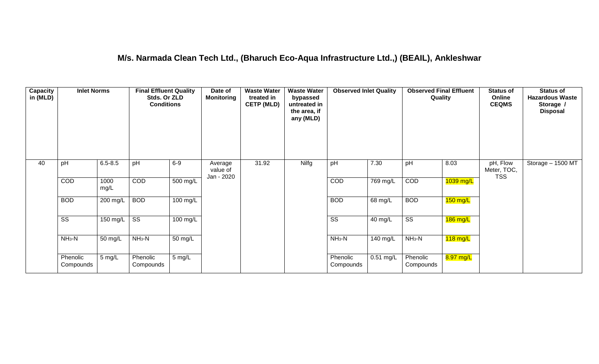### **M/s. Narmada Clean Tech Ltd., (Bharuch Eco-Aqua Infrastructure Ltd.,) (BEAIL), Ankleshwar**

| Capacity<br>in (MLD) | <b>Inlet Norms</b>     |              | <b>Final Effluent Quality</b><br>Stds. Or ZLD<br><b>Conditions</b> |                    | Date of<br><b>Monitoring</b>      | <b>Waste Water</b><br>treated in<br><b>CETP (MLD)</b> | <b>Waste Water</b><br>bypassed<br>untreated in<br>the area, if<br>any (MLD) | <b>Observed Inlet Quality</b> |                       | <b>Observed Final Effluent</b><br>Quality |            | <b>Status of</b><br>Online<br><b>CEQMS</b> | <b>Status of</b><br><b>Hazardous Waste</b><br>Storage /<br><b>Disposal</b> |
|----------------------|------------------------|--------------|--------------------------------------------------------------------|--------------------|-----------------------------------|-------------------------------------------------------|-----------------------------------------------------------------------------|-------------------------------|-----------------------|-------------------------------------------|------------|--------------------------------------------|----------------------------------------------------------------------------|
| 40                   | pH                     | $6.5 - 8.5$  | pH                                                                 | $6-9$              | Average<br>value of<br>Jan - 2020 | 31.92                                                 | Nilfg                                                                       | pH                            | 7.30                  | pH                                        | 8.03       | pH, Flow<br>Meter, TOC,<br><b>TSS</b>      | Storage - 1500 MT                                                          |
|                      | COD                    | 1000<br>mg/L | COD                                                                | $500 \text{ mg/L}$ |                                   |                                                       |                                                                             | COD                           | $\overline{769}$ mg/L | COD                                       | 1039 mg/L  |                                            |                                                                            |
|                      | <b>BOD</b>             | 200 mg/L     | <b>BOD</b>                                                         | 100 mg/L           |                                   |                                                       |                                                                             | <b>BOD</b>                    | 68 mg/L               | <b>BOD</b>                                | $150$ mg/L |                                            |                                                                            |
|                      | $\overline{\text{ss}}$ | 150 mg/L     | $\overline{\text{ss}}$                                             | $100 \text{ mg/L}$ |                                   |                                                       |                                                                             | $\overline{\text{ss}}$        | 40 mg/L               | $\overline{\text{ss}}$                    | $186$ mg/L |                                            |                                                                            |
|                      | $NH3-N$                | 50 mg/L      | $NH3-N$                                                            | 50 mg/L            |                                   |                                                       |                                                                             | $NH3-N$                       | 140 mg/L              | $NH_3-N$                                  | $118$ mg/L |                                            |                                                                            |
|                      | Phenolic<br>Compounds  | 5 mg/L       | Phenolic<br>Compounds                                              | $5 \text{ mg/L}$   |                                   |                                                       |                                                                             | Phenolic<br>Compounds         | $0.51$ mg/L           | Phenolic<br>Compounds                     | 8.97 mg/L  |                                            |                                                                            |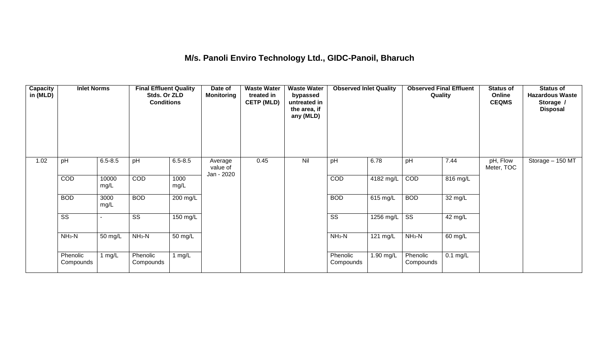## **M/s. Panoli Enviro Technology Ltd., GIDC-Panoil, Bharuch**

| Capacity<br>in (MLD) | <b>Inlet Norms</b>     |               | <b>Final Effluent Quality</b><br>Stds. Or ZLD<br><b>Conditions</b> |              | Date of<br><b>Monitoring</b>      | <b>Waste Water</b><br>treated in<br><b>CETP (MLD)</b> | <b>Waste Water</b><br>bypassed<br>untreated in<br>the area, if<br>any (MLD) | <b>Observed Inlet Quality</b> |                       | <b>Observed Final Effluent</b><br>Quality |            | <b>Status of</b><br>Online<br><b>CEQMS</b> | <b>Status of</b><br><b>Hazardous Waste</b><br>Storage /<br><b>Disposal</b> |
|----------------------|------------------------|---------------|--------------------------------------------------------------------|--------------|-----------------------------------|-------------------------------------------------------|-----------------------------------------------------------------------------|-------------------------------|-----------------------|-------------------------------------------|------------|--------------------------------------------|----------------------------------------------------------------------------|
| 1.02                 | pH                     | $6.5 - 8.5$   | pH                                                                 | $6.5 - 8.5$  | Average<br>value of<br>Jan - 2020 | 0.45                                                  | Nil                                                                         | pH                            | 6.78                  | pH                                        | 7.44       | pH, Flow<br>Meter, TOC                     | Storage - 150 MT                                                           |
|                      | COD                    | 10000<br>mg/L | COD                                                                | 1000<br>mg/L |                                   |                                                       |                                                                             | COD                           | 4182 mg/L             | COD                                       | 816 mg/L   |                                            |                                                                            |
|                      | <b>BOD</b>             | 3000<br>mg/L  | <b>BOD</b>                                                         | 200 mg/L     |                                   |                                                       |                                                                             | <b>BOD</b>                    | $\overline{615}$ mg/L | <b>BOD</b>                                | 32 mg/L    |                                            |                                                                            |
|                      | $\overline{\text{ss}}$ |               | SS                                                                 | 150 mg/L     |                                   |                                                       |                                                                             | $\overline{\text{SS}}$        | 1256 mg/L             | $\overline{\text{ss}}$                    | 42 mg/L    |                                            |                                                                            |
|                      | $NH3-N$                | 50 mg/L       | $NH3-N$                                                            | 50 mg/L      |                                   |                                                       |                                                                             | $NH3-N$                       | 121 mg/L              | $NH3-N$                                   | 60 mg/L    |                                            |                                                                            |
|                      | Phenolic<br>Compounds  | 1 $mg/L$      | Phenolic<br>Compounds                                              | 1 $mg/L$     |                                   |                                                       |                                                                             | Phenolic<br>Compounds         | 1.90 mg/L             | Phenolic<br>Compounds                     | $0.1$ mg/L |                                            |                                                                            |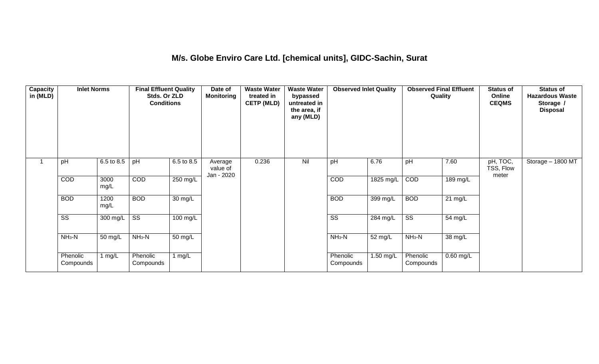### **M/s. Globe Enviro Care Ltd. [chemical units], GIDC-Sachin, Surat**

| Capacity<br>in (MLD) | <b>Inlet Norms</b>     |              | <b>Final Effluent Quality</b><br>Stds. Or ZLD<br><b>Conditions</b> |                      | Date of<br><b>Monitoring</b>      | <b>Waste Water</b><br>treated in<br><b>CETP (MLD)</b> | <b>Waste Water</b><br>bypassed<br>untreated in<br>the area, if<br>any (MLD) | <b>Observed Inlet Quality</b> |                     | <b>Observed Final Effluent</b><br>Quality |                   | <b>Status of</b><br>Online<br><b>CEQMS</b> | <b>Status of</b><br><b>Hazardous Waste</b><br>Storage /<br><b>Disposal</b> |
|----------------------|------------------------|--------------|--------------------------------------------------------------------|----------------------|-----------------------------------|-------------------------------------------------------|-----------------------------------------------------------------------------|-------------------------------|---------------------|-------------------------------------------|-------------------|--------------------------------------------|----------------------------------------------------------------------------|
|                      | pH                     | 6.5 to 8.5   | pH                                                                 | 6.5 to 8.5           | Average<br>value of<br>Jan - 2020 | 0.236                                                 | Nil                                                                         | pH                            | 6.76                | pH                                        | 7.60              | pH, TOC,<br>TSS, Flow<br>meter             | Storage - 1800 MT                                                          |
|                      | COD                    | 3000<br>mg/L | COD                                                                | 250 mg/L             |                                   |                                                       |                                                                             | COD                           | $1825 \text{ mg/L}$ | COD                                       | $189$ mg/L        |                                            |                                                                            |
|                      | <b>BOD</b>             | 1200<br>mg/L | <b>BOD</b>                                                         | $\overline{30}$ mg/L |                                   |                                                       |                                                                             | <b>BOD</b>                    | 399 mg/L            | <b>BOD</b>                                | $21 \text{ mg/L}$ |                                            |                                                                            |
|                      | $\overline{\text{ss}}$ | $300$ mg/L   | $\overline{\text{ss}}$                                             | $100$ mg/L           |                                   |                                                       |                                                                             | $\overline{\text{ss}}$        | 284 mg/L            | $\overline{\text{ss}}$                    | 54 mg/L           |                                            |                                                                            |
|                      | $NH3-N$                | 50 mg/L      | $NH3-N$                                                            | 50 mg/L              |                                   |                                                       |                                                                             | $NH3-N$                       | 52 mg/L             | $NH3-N$                                   | 38 mg/L           |                                            |                                                                            |
|                      | Phenolic<br>Compounds  | 1 mg/L       | Phenolic<br>Compounds                                              | 1 mg/L               |                                   |                                                       |                                                                             | Phenolic<br>Compounds         | 1.50 mg/L           | Phenolic<br>Compounds                     | $0.60$ mg/L       |                                            |                                                                            |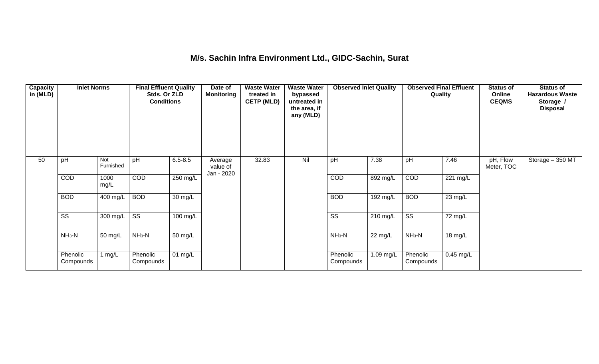### **M/s. Sachin Infra Environment Ltd., GIDC-Sachin, Surat**

| <b>Capacity</b><br>in (MLD) | <b>Inlet Norms</b>     |                  | <b>Final Effluent Quality</b><br>Stds. Or ZLD<br><b>Conditions</b> |                      | Date of<br><b>Monitoring</b>      | <b>Waste Water</b><br>treated in<br><b>CETP (MLD)</b> | <b>Waste Water</b><br>bypassed<br>untreated in<br>the area, if<br>any (MLD) | <b>Observed Inlet Quality</b> |                      | <b>Observed Final Effluent</b><br>Quality |                       | <b>Status of</b><br>Online<br><b>CEQMS</b> | <b>Status of</b><br><b>Hazardous Waste</b><br>Storage /<br><b>Disposal</b> |
|-----------------------------|------------------------|------------------|--------------------------------------------------------------------|----------------------|-----------------------------------|-------------------------------------------------------|-----------------------------------------------------------------------------|-------------------------------|----------------------|-------------------------------------------|-----------------------|--------------------------------------------|----------------------------------------------------------------------------|
| 50                          | pH                     | Not<br>Furnished | pH                                                                 | $6.5 - 8.5$          | Average<br>value of<br>Jan - 2020 | 32.83                                                 | Nil                                                                         | pH                            | 7.38                 | pH                                        | 7.46                  | pH, Flow<br>Meter, TOC                     | Storage - 350 MT                                                           |
|                             | COD                    | 1000<br>mg/L     | COD                                                                | 250 mg/L             |                                   |                                                       |                                                                             | COD                           | $892$ mg/L           | COD                                       | $\overline{221}$ mg/L |                                            |                                                                            |
|                             | <b>BOD</b>             | 400 mg/L         | <b>BOD</b>                                                         | 30 mg/L              |                                   |                                                       |                                                                             | <b>BOD</b>                    | 192 mg/L             | <b>BOD</b>                                | $\overline{23}$ mg/L  |                                            |                                                                            |
|                             | $\overline{\text{ss}}$ | 300 mg/L         | $\overline{\text{ss}}$                                             | $100 \text{ mg/L}$   |                                   |                                                       |                                                                             | $\overline{\text{ss}}$        | 210 mg/L             | $\overline{\text{ss}}$                    | 72 mg/L               |                                            |                                                                            |
|                             | $NH3-N$                | 50 mg/L          | $NH_3-N$                                                           | $\overline{50}$ mg/L |                                   |                                                       |                                                                             | $NH_3-N$                      | $\overline{2}2$ mg/L | $NH_3-N$                                  | 18 mg/L               |                                            |                                                                            |
|                             | Phenolic<br>Compounds  | mg/L             | Phenolic<br>Compounds                                              | 01 mg/L              |                                   |                                                       |                                                                             | Phenolic<br>Compounds         | 1.09 mg/L            | Phenolic<br>Compounds                     | $0.45$ mg/L           |                                            |                                                                            |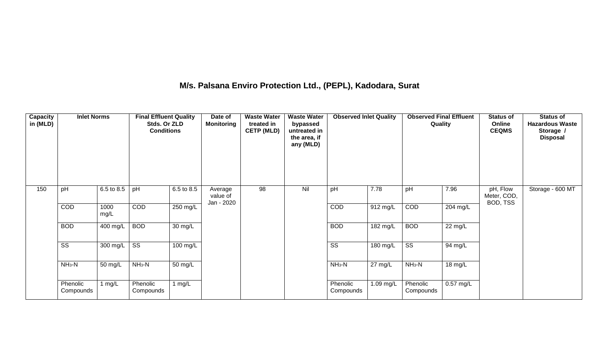## **M/s. Palsana Enviro Protection Ltd., (PEPL), Kadodara, Surat**

| Capacity<br>in (MLD) | <b>Inlet Norms</b>     |              | <b>Final Effluent Quality</b><br>Stds. Or ZLD<br><b>Conditions</b> |                      | Date of<br><b>Monitoring</b>      | <b>Waste Water</b><br>treated in<br><b>CETP (MLD)</b> | <b>Waste Water</b><br>bypassed<br>untreated in<br>the area, if<br>any (MLD) | <b>Observed Inlet Quality</b> |                    | <b>Observed Final Effluent</b><br>Quality |                      | <b>Status of</b><br>Online<br><b>CEQMS</b> | <b>Status of</b><br><b>Hazardous Waste</b><br>Storage /<br><b>Disposal</b> |
|----------------------|------------------------|--------------|--------------------------------------------------------------------|----------------------|-----------------------------------|-------------------------------------------------------|-----------------------------------------------------------------------------|-------------------------------|--------------------|-------------------------------------------|----------------------|--------------------------------------------|----------------------------------------------------------------------------|
| 150                  | pH                     | 6.5 to 8.5   | pH                                                                 | 6.5 to 8.5           | Average<br>value of<br>Jan - 2020 | 98                                                    | Nil                                                                         | pH                            | 7.78               | pH                                        | 7.96                 | pH, Flow<br>Meter, COD,<br>BOD, TSS        | Storage - 600 MT                                                           |
|                      | COD                    | 1000<br>mg/L | COD                                                                | 250 mg/L             |                                   |                                                       |                                                                             | COD                           | 912 mg/L           | COD                                       | $204$ mg/L           |                                            |                                                                            |
|                      | <b>BOD</b>             | 400 mg/L     | <b>BOD</b>                                                         | $\overline{30}$ mg/L |                                   |                                                       |                                                                             | <b>BOD</b>                    | $182 \text{ mg/L}$ | <b>BOD</b>                                | $\overline{22}$ mg/L |                                            |                                                                            |
|                      | $\overline{\text{ss}}$ | 300 mg/L     | $\overline{\text{ss}}$                                             | $100 \text{ mg/L}$   |                                   |                                                       |                                                                             | $\overline{\text{ss}}$        | 180 mg/L           | $\overline{\text{ss}}$                    | 94 mg/L              |                                            |                                                                            |
|                      | $NH_3-N$               | 50 mg/L      | $NH_3-N$                                                           | 50 mg/L              |                                   |                                                       |                                                                             | $NH_3-N$                      | 27 mg/L            | $NH_3-N$                                  | 18 mg/L              |                                            |                                                                            |
|                      | Phenolic<br>Compounds  | 1 $mg/L$     | Phenolic<br>Compounds                                              | 1 $mg/L$             |                                   |                                                       |                                                                             | Phenolic<br>Compounds         | 1.09 mg/L          | Phenolic<br>Compounds                     | $0.57$ mg/L          |                                            |                                                                            |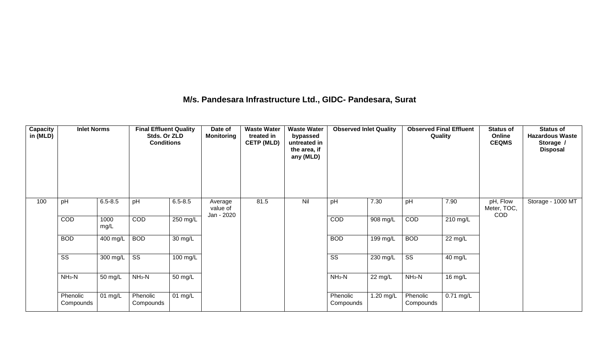### **M/s. Pandesara Infrastructure Ltd., GIDC- Pandesara, Surat**

| Capacity<br>in (MLD) | <b>Inlet Norms</b>    |                                 | <b>Final Effluent Quality</b><br>Stds. Or ZLD<br><b>Conditions</b> |                      | Date of<br><b>Monitoring</b>      | <b>Waste Water</b><br>treated in<br><b>CETP (MLD)</b> | <b>Waste Water</b><br>bypassed<br>untreated in<br>the area, if<br>any (MLD) | <b>Observed Inlet Quality</b> |           | <b>Observed Final Effluent</b><br>Quality |                    | <b>Status of</b><br>Online<br><b>CEQMS</b> | <b>Status of</b><br><b>Hazardous Waste</b><br>Storage /<br><b>Disposal</b> |
|----------------------|-----------------------|---------------------------------|--------------------------------------------------------------------|----------------------|-----------------------------------|-------------------------------------------------------|-----------------------------------------------------------------------------|-------------------------------|-----------|-------------------------------------------|--------------------|--------------------------------------------|----------------------------------------------------------------------------|
| 100                  | pH                    | $6.5 - 8.5$                     | pH                                                                 | $6.5 - 8.5$          | Average<br>value of<br>Jan - 2020 | 81.5                                                  | Nil                                                                         | pH                            | 7.30      | pH                                        | 7.90               | pH, Flow<br>Meter, TOC,<br><b>COD</b>      | Storage - 1000 MT                                                          |
|                      | COD                   | 1000<br>mg/L                    | <b>COD</b>                                                         | $250 \text{ mg/L}$   |                                   |                                                       |                                                                             | COD                           | 908 mg/L  | COD                                       | $210 \text{ mg/L}$ |                                            |                                                                            |
|                      | <b>BOD</b>            | 400 mg/L                        | <b>BOD</b>                                                         | $\overline{30}$ mg/L |                                   |                                                       |                                                                             | <b>BOD</b>                    | 199 mg/L  | <b>BOD</b>                                | 22 mg/L            |                                            |                                                                            |
|                      | SS                    | 300 mg/L $\overline{\text{SS}}$ |                                                                    | 100 mg/L             |                                   |                                                       |                                                                             | $\overline{\text{ss}}$        | 230 mg/L  | $\overline{\text{ss}}$                    | 40 mg/L            |                                            |                                                                            |
|                      | $NH3-N$               | 50 mg/L                         | $NH3-N$                                                            | 50 mg/L              |                                   |                                                       |                                                                             | $NH_3-N$                      | 22 mg/L   | $NH_3-N$                                  | 16 mg/L            |                                            |                                                                            |
|                      | Phenolic<br>Compounds | $01$ mg/L                       | Phenolic<br>Compounds                                              | 01 mg/L              |                                   |                                                       |                                                                             | Phenolic<br>Compounds         | 1.20 mg/L | Phenolic<br>Compounds                     | $0.71$ mg/L        |                                            |                                                                            |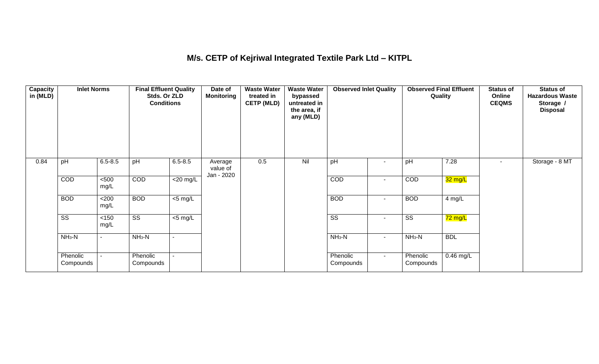## **M/s. CETP of Kejriwal Integrated Textile Park Ltd – KITPL**

| <b>Capacity</b><br>in (MLD) | <b>Inlet Norms</b>     |                | <b>Final Effluent Quality</b><br>Stds. Or ZLD<br><b>Conditions</b> |                     | Date of<br><b>Monitoring</b>      | <b>Waste Water</b><br>treated in<br><b>CETP (MLD)</b> | <b>Waste Water</b><br>bypassed<br>untreated in<br>the area, if<br>any (MLD) | <b>Observed Inlet Quality</b> |                          | <b>Observed Final Effluent</b><br>Quality |                      | <b>Status of</b><br>Online<br><b>CEQMS</b> | <b>Status of</b><br><b>Hazardous Waste</b><br>Storage /<br><b>Disposal</b> |
|-----------------------------|------------------------|----------------|--------------------------------------------------------------------|---------------------|-----------------------------------|-------------------------------------------------------|-----------------------------------------------------------------------------|-------------------------------|--------------------------|-------------------------------------------|----------------------|--------------------------------------------|----------------------------------------------------------------------------|
| 0.84                        | pH                     | $6.5 - 8.5$    | pH                                                                 | $6.5 - 8.5$         | Average<br>value of<br>Jan - 2020 | 0.5                                                   | Nil                                                                         | pH                            | $\blacksquare$           | pH                                        | 7.28                 | $\sim$                                     | Storage - 8 MT                                                             |
|                             | COD                    | $500$<br>mg/L  | COD                                                                | $<$ 20 mg/L         |                                   |                                                       |                                                                             | COD                           | $\overline{\phantom{a}}$ | COD                                       | 32 mg/L              |                                            |                                                                            |
|                             | <b>BOD</b>             | <200<br>mg/L   | <b>BOD</b>                                                         | $\overline{5}$ mg/L |                                   |                                                       |                                                                             | <b>BOD</b>                    | $\blacksquare$           | <b>BOD</b>                                | 4 mg/L               |                                            |                                                                            |
|                             | $\overline{\text{ss}}$ | $<150$<br>mg/L | $\overline{\text{ss}}$                                             | $<$ 5 mg/L          |                                   |                                                       |                                                                             | $\overline{\text{ss}}$        | $\sim$                   | $\overline{\text{ss}}$                    | $\overline{72}$ mg/L |                                            |                                                                            |
|                             | $NH3-N$                | $\blacksquare$ | $NH3-N$                                                            |                     |                                   |                                                       |                                                                             | $NH_3-N$                      | $\blacksquare$           | $NH_3-N$                                  | <b>BDL</b>           |                                            |                                                                            |
|                             | Phenolic<br>Compounds  | $\blacksquare$ | Phenolic<br>Compounds                                              |                     |                                   |                                                       |                                                                             | Phenolic<br>Compounds         | $\sim$                   | Phenolic<br>Compounds                     | 0.46 mg/L            |                                            |                                                                            |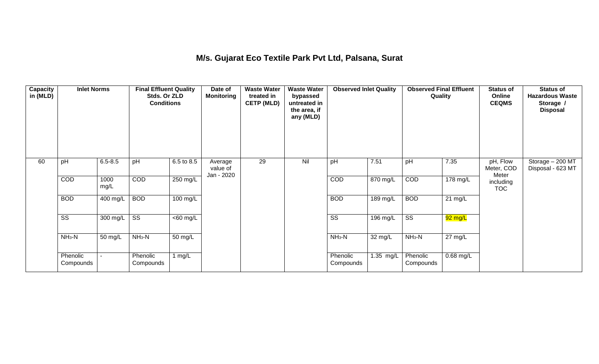## **M/s. Gujarat Eco Textile Park Pvt Ltd, Palsana, Surat**

| Capacity<br>in (MLD) | <b>Inlet Norms</b>     |              | <b>Final Effluent Quality</b><br>Stds. Or ZLD<br><b>Conditions</b> |                       | Date of<br><b>Monitoring</b>      | <b>Waste Water</b><br>treated in<br><b>CETP (MLD)</b> | <b>Waste Water</b><br>bypassed<br>untreated in<br>the area, if<br>any (MLD) | <b>Observed Inlet Quality</b> |                   | <b>Observed Final Effluent</b><br>Quality |           | <b>Status of</b><br>Online<br><b>CEQMS</b> | <b>Status of</b><br><b>Hazardous Waste</b><br>Storage /<br><b>Disposal</b> |
|----------------------|------------------------|--------------|--------------------------------------------------------------------|-----------------------|-----------------------------------|-------------------------------------------------------|-----------------------------------------------------------------------------|-------------------------------|-------------------|-------------------------------------------|-----------|--------------------------------------------|----------------------------------------------------------------------------|
| 60                   | pH                     | $6.5 - 8.5$  | pH                                                                 | 6.5 to 8.5            | Average<br>value of<br>Jan - 2020 | 29                                                    | Nil                                                                         | pH                            | 7.51              | pH                                        | 7.35      | pH, Flow<br>Meter, COD<br>Meter            | Storage - 200 MT<br>Disposal - 623 MT                                      |
|                      | COD                    | 1000<br>mg/L | COD                                                                | 250 mg/L              |                                   |                                                       |                                                                             | COD                           | 870 mg/L          | COD                                       | 178 mg/L  | including<br><b>TOC</b>                    |                                                                            |
|                      | <b>BOD</b>             | 400 mg/L     | <b>BOD</b>                                                         | 100 mg/L              |                                   |                                                       |                                                                             | <b>BOD</b>                    | $189$ mg/L        | <b>BOD</b>                                | 21 mg/L   |                                            |                                                                            |
|                      | $\overline{\text{ss}}$ | 300 mg/L     | $\overline{\text{ss}}$                                             | $\overline{<}60$ mg/L |                                   |                                                       |                                                                             | $\overline{\text{ss}}$        | $196$ mg/L        | $\overline{\text{ss}}$                    | 92 mg/L   |                                            |                                                                            |
|                      | $NH3-N$                | 50 mg/L      | $NH3-N$                                                            | 50 mg/L               |                                   |                                                       |                                                                             | $NH_3-N$                      | $32 \text{ mg/L}$ | $NH_3-N$                                  | 27 mg/L   |                                            |                                                                            |
|                      | Phenolic<br>Compounds  |              | Phenolic<br>Compounds                                              | 1 $mg/L$              |                                   |                                                       |                                                                             | Phenolic<br>Compounds         | 1.35 mg/L         | Phenolic<br>Compounds                     | 0.68 mg/L |                                            |                                                                            |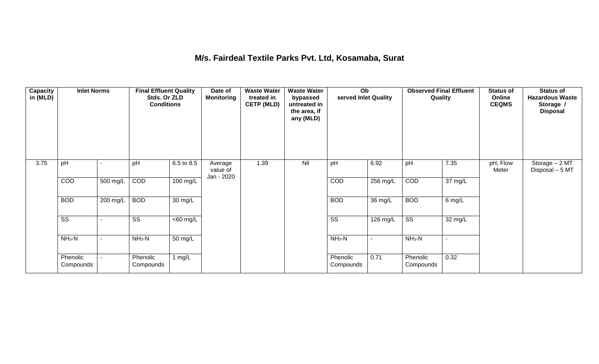### **M/s. Fairdeal Textile Parks Pvt. Ltd, Kosamaba, Surat**

| <b>Capacity</b><br>in (MLD) | <b>Inlet Norms</b>     |          | <b>Final Effluent Quality</b><br>Stds. Or ZLD<br><b>Conditions</b> |                      | Date of<br><b>Monitoring</b>      | <b>Waste Water</b><br>treated in<br><b>CETP (MLD)</b> | <b>Waste Water</b><br>bypassed<br>untreated in<br>the area, if<br>any (MLD) | Ob<br>served Inlet Quality |                | Quality                | <b>Observed Final Effluent</b> | <b>Status of</b><br>Online<br><b>CEQMS</b> | <b>Status of</b><br><b>Hazardous Waste</b><br>Storage /<br><b>Disposal</b> |
|-----------------------------|------------------------|----------|--------------------------------------------------------------------|----------------------|-----------------------------------|-------------------------------------------------------|-----------------------------------------------------------------------------|----------------------------|----------------|------------------------|--------------------------------|--------------------------------------------|----------------------------------------------------------------------------|
| 3.75                        | pH                     |          | pH                                                                 | 6.5 to 8.5           | Average<br>value of<br>Jan - 2020 | 1.39                                                  | Nil                                                                         | pH                         | 6.92           | pH                     | 7.35                           | pH, Flow<br>Meter                          | Storage - 2 MT<br>Disposal - 5 MT                                          |
|                             | COD                    | 500 mg/L | COD                                                                | 100 mg/L             |                                   |                                                       |                                                                             | COD                        | 256 mg/L       | COD                    | $\overline{37}$ mg/L           |                                            |                                                                            |
|                             | <b>BOD</b>             | 200 mg/L | <b>BOD</b>                                                         | $\overline{30}$ mg/L |                                   |                                                       |                                                                             | <b>BOD</b>                 | 36 mg/L        | <b>BOD</b>             | 6 mg/L                         |                                            |                                                                            |
|                             | $\overline{\text{ss}}$ |          | $\overline{\text{ss}}$                                             | $<$ 60 mg/L          |                                   |                                                       |                                                                             | $\overline{\text{ss}}$     | 126 mg/L       | $\overline{\text{ss}}$ | 32 mg/L                        |                                            |                                                                            |
|                             | $NH3-N$                |          | $NH3-N$                                                            | 50 mg/L              |                                   |                                                       |                                                                             | $NH_3-N$                   | $\blacksquare$ | $NH3-N$                |                                |                                            |                                                                            |
|                             | Phenolic<br>Compounds  |          | Phenolic<br>Compounds                                              | 1 $mg/L$             |                                   |                                                       |                                                                             | Phenolic<br>Compounds      | 0.71           | Phenolic<br>Compounds  | 0.32                           |                                            |                                                                            |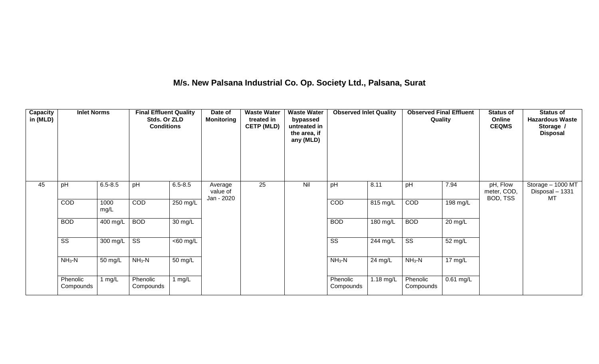## **M/s. New Palsana Industrial Co. Op. Society Ltd., Palsana, Surat**

| Capacity<br>in (MLD) | <b>Inlet Norms</b>     |                  | <b>Final Effluent Quality</b><br>Stds. Or ZLD<br><b>Conditions</b> |                   | Date of<br><b>Monitoring</b>      | <b>Waste Water</b><br>treated in<br><b>CETP (MLD)</b> | <b>Waste Water</b><br>bypassed<br>untreated in<br>the area, if<br>any (MLD) | <b>Observed Inlet Quality</b> |           | <b>Observed Final Effluent</b><br>Quality |                      | <b>Status of</b><br>Online<br><b>CEQMS</b> | <b>Status of</b><br><b>Hazardous Waste</b><br>Storage /<br><b>Disposal</b> |
|----------------------|------------------------|------------------|--------------------------------------------------------------------|-------------------|-----------------------------------|-------------------------------------------------------|-----------------------------------------------------------------------------|-------------------------------|-----------|-------------------------------------------|----------------------|--------------------------------------------|----------------------------------------------------------------------------|
| 45                   | pH                     | $6.5 - 8.5$      | pH                                                                 | $6.5 - 8.5$       | Average<br>value of<br>Jan - 2020 | 25                                                    | Nil                                                                         | pH                            | 8.11      | pH                                        | 7.94                 | pH, Flow<br>meter, COD,<br>BOD, TSS        | Storage - 1000 MT<br>Disposal - 1331<br>МT                                 |
|                      | COD                    | 1000<br>mg/L     | COD                                                                | 250 mg/L          |                                   |                                                       |                                                                             | COD                           | 815 mg/L  | COD                                       | 198 mg/L             |                                            |                                                                            |
|                      | <b>BOD</b>             | $400$ mg/L       | <b>BOD</b>                                                         | $30 \text{ mg/L}$ |                                   |                                                       |                                                                             | <b>BOD</b>                    | 180 mg/L  | <b>BOD</b>                                | $20 \,\mathrm{mg/L}$ |                                            |                                                                            |
|                      | $\overline{\text{ss}}$ | 300 mg/L $\vert$ | $\overline{\text{ss}}$                                             | $<$ 60 mg/L       |                                   |                                                       |                                                                             | $\overline{\text{SS}}$        | 244 mg/L  | $\overline{\text{ss}}$                    | 52 mg/L              |                                            |                                                                            |
|                      | $NH3-N$                | 50 mg/L          | $NH3-N$                                                            | $50 \text{ mg/L}$ |                                   |                                                       |                                                                             | $NH3-N$                       | 24 mg/L   | $NH3-N$                                   | $\frac{1}{17}$ mg/L  |                                            |                                                                            |
|                      | Phenolic<br>Compounds  | 1 mg/L           | Phenolic<br>Compounds                                              | 1 $mg/L$          |                                   |                                                       |                                                                             | Phenolic<br>Compounds         | 1.18 mg/L | Phenolic<br>Compounds                     | $0.61$ mg/L          |                                            |                                                                            |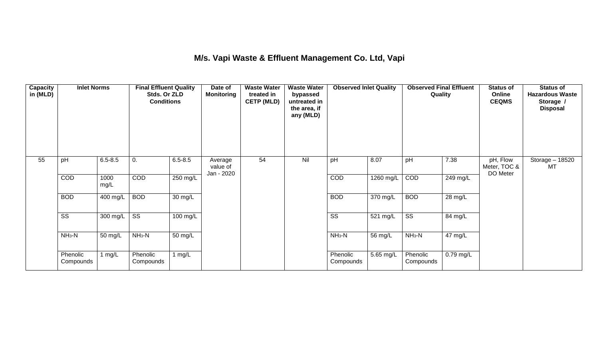## **M/s. Vapi Waste & Effluent Management Co. Ltd, Vapi**

| <b>Capacity</b><br>in (MLD) | <b>Inlet Norms</b>     |              | <b>Final Effluent Quality</b><br>Stds. Or ZLD<br><b>Conditions</b> |                   | <b>Waste Water</b><br>Date of<br>Monitoring<br>treated in<br><b>CETP (MLD)</b> |    | <b>Waste Water</b><br>bypassed<br>untreated in<br>the area, if<br>any (MLD) | <b>Observed Inlet Quality</b> |           | <b>Observed Final Effluent</b><br>Quality |                      | <b>Status of</b><br>Online<br><b>CEQMS</b> | <b>Status of</b><br><b>Hazardous Waste</b><br>Storage /<br><b>Disposal</b> |
|-----------------------------|------------------------|--------------|--------------------------------------------------------------------|-------------------|--------------------------------------------------------------------------------|----|-----------------------------------------------------------------------------|-------------------------------|-----------|-------------------------------------------|----------------------|--------------------------------------------|----------------------------------------------------------------------------|
| 55                          | pH                     | $6.5 - 8.5$  | 0.                                                                 | $6.5 - 8.5$       | Average<br>value of<br>Jan - 2020                                              | 54 | Nil                                                                         | pH                            | 8.07      | pH                                        | 7.38                 | pH, Flow<br>Meter, TOC &<br>DO Meter       | Storage - 18520<br>MT                                                      |
|                             | COD                    | 1000<br>mg/L | COD                                                                | 250 mg/L          |                                                                                |    |                                                                             | COD                           | 1260 mg/L | COD                                       | 249 mg/L             |                                            |                                                                            |
|                             | <b>BOD</b>             | 400 mg/L     | <b>BOD</b>                                                         | $30 \text{ mg/L}$ |                                                                                |    |                                                                             | <b>BOD</b>                    | 370 mg/L  | <b>BOD</b>                                | $\overline{28}$ mg/L |                                            |                                                                            |
|                             | $\overline{\text{SS}}$ | 300 mg/L     | $\overline{\text{SS}}$                                             | 100 mg/L          |                                                                                |    |                                                                             | $\overline{\text{ss}}$        | 521 mg/L  | $\overline{\text{SS}}$                    | 84 mg/L              |                                            |                                                                            |
|                             | $NH3-N$                | 50 mg/L      | $NH3-N$                                                            | 50 mg/L           |                                                                                |    |                                                                             | $NH_3-N$                      | 56 mg/L   | $NH3-N$                                   | 47 mg/L              |                                            |                                                                            |
|                             | Phenolic<br>Compounds  | 1 mg/L       | Phenolic<br>Compounds                                              | 1 $mg/L$          |                                                                                |    |                                                                             | Phenolic<br>Compounds         | 5.65 mg/L | Phenolic<br>Compounds                     | 0.79 mg/L            |                                            |                                                                            |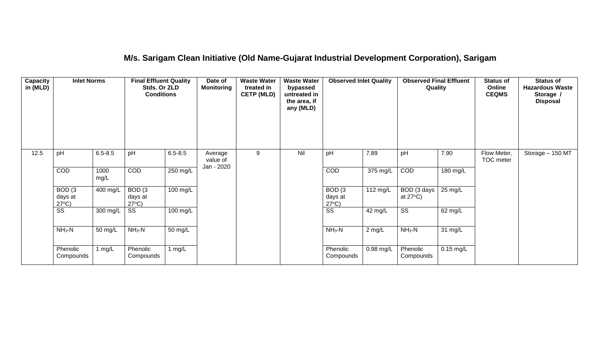## **M/s. Sarigam Clean Initiative (Old Name-Gujarat Industrial Development Corporation), Sarigam**

| <b>Capacity</b><br>in (MLD) | <b>Inlet Norms</b><br>pH<br>$6.5 - 8.5$         |              | <b>Final Effluent Quality</b><br>Stds. Or ZLD<br><b>Conditions</b> |                      | <b>Waste Water</b><br>Date of<br><b>Monitoring</b><br>treated in<br>bypassed<br><b>CETP (MLD)</b><br>any (MLD) |   | <b>Waste Water</b><br>untreated in<br>the area, if | <b>Observed Inlet Quality</b>        |                  | <b>Observed Final Effluent</b><br>Quality |                    | <b>Status of</b><br>Online<br><b>CEQMS</b> | <b>Status of</b><br><b>Hazardous Waste</b><br>Storage /<br><b>Disposal</b> |
|-----------------------------|-------------------------------------------------|--------------|--------------------------------------------------------------------|----------------------|----------------------------------------------------------------------------------------------------------------|---|----------------------------------------------------|--------------------------------------|------------------|-------------------------------------------|--------------------|--------------------------------------------|----------------------------------------------------------------------------|
| 12.5                        |                                                 |              | pH                                                                 | $6.5 - 8.5$          | Average<br>value of<br>Jan - 2020                                                                              | 9 | Nil                                                | pH                                   | 7.89             | pH                                        | 7.90               | Flow Meter,<br>TOC meter                   | Storage - 150 MT                                                           |
|                             | COD                                             | 1000<br>mg/L | <b>COD</b>                                                         | 250 mg/L             |                                                                                                                |   |                                                    | COD                                  | 375 mg/L         | COD                                       | $180 \text{ mg/L}$ |                                            |                                                                            |
|                             | BOD <sub>(3</sub><br>days at<br>$27^{\circ}C$ ) | 400 mg/L     | BOD(3)<br>days at<br>$27^{\circ}C$ )                               | 100 mg/L             |                                                                                                                |   |                                                    | BOD(3)<br>days at<br>$27^{\circ}C$ ) | 112 mg/L         | BOD (3 days<br>at $27^{\circ}$ C)         | 25 mg/L            |                                            |                                                                            |
|                             | SS                                              | 300 mg/L     | SS                                                                 | 100 mg/L             |                                                                                                                |   |                                                    | $\overline{\text{SS}}$               | 42 mg/L          | $\overline{\text{SS}}$                    | 62 mg/L            |                                            |                                                                            |
|                             | $NH3-N$                                         | 50 mg/L      | $NH3-N$                                                            | $\overline{50}$ mg/L |                                                                                                                |   |                                                    | $NH3-N$                              | $2 \text{ mg/L}$ | $NH3-N$                                   | 31 mg/L            |                                            |                                                                            |
|                             | Phenolic<br>Compounds                           | 1 mg/L       | Phenolic<br>Compounds                                              | 1 mg/ $L$            |                                                                                                                |   |                                                    | Phenolic<br>Compounds                | $0.98$ mg/L      | Phenolic<br>Compounds                     | $0.15$ mg/L        |                                            |                                                                            |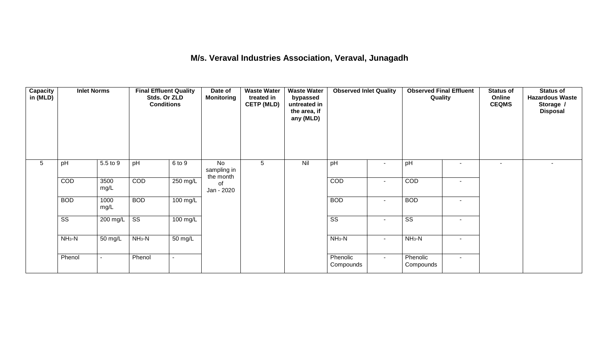### **M/s. Veraval Industries Association, Veraval, Junagadh**

| Capacity<br>in (MLD) | <b>Inlet Norms</b><br>5.5 to 9<br>pH |                          | <b>Final Effluent Quality</b><br>Stds. Or ZLD<br><b>Conditions</b> |                       | Date of<br><b>Monitoring</b>   | <b>Waste Water</b><br>treated in<br><b>CETP (MLD)</b> | <b>Waste Water</b><br>bypassed<br>untreated in<br>the area, if<br>any (MLD) | <b>Observed Inlet Quality</b> |                | <b>Observed Final Effluent</b><br>Quality |                          | <b>Status of</b><br>Online<br><b>CEQMS</b> | <b>Status of</b><br><b>Hazardous Waste</b><br>Storage /<br><b>Disposal</b> |
|----------------------|--------------------------------------|--------------------------|--------------------------------------------------------------------|-----------------------|--------------------------------|-------------------------------------------------------|-----------------------------------------------------------------------------|-------------------------------|----------------|-------------------------------------------|--------------------------|--------------------------------------------|----------------------------------------------------------------------------|
| 5                    |                                      |                          | pH                                                                 | 6 to 9                | No<br>sampling in<br>the month | 5                                                     | Nil                                                                         | pH                            | $\blacksquare$ | pH                                        | $\overline{\phantom{a}}$ | $\overline{\phantom{a}}$                   | $\sim$                                                                     |
|                      | COD                                  | 3500<br>mg/L             | COD                                                                | $250 \text{ mg/L}$    | of<br>Jan - 2020               |                                                       |                                                                             | COD                           | $\blacksquare$ | COD                                       | $\overline{\phantom{a}}$ |                                            |                                                                            |
|                      | <b>BOD</b>                           | 1000<br>mg/L             | <b>BOD</b>                                                         | $\overline{100}$ mg/L |                                |                                                       |                                                                             | <b>BOD</b>                    | $\blacksquare$ | <b>BOD</b>                                |                          |                                            |                                                                            |
|                      | $\overline{\text{ss}}$               | 200 mg/L                 | $\overline{\text{ss}}$                                             | $100 \text{ mg/L}$    |                                |                                                       |                                                                             | $\overline{\text{ss}}$        | $\blacksquare$ | $\overline{\text{ss}}$                    | $\overline{\phantom{a}}$ |                                            |                                                                            |
|                      | $NH3-N$                              | 50 mg/L                  | $NH3-N$                                                            | $\overline{50}$ mg/L  |                                |                                                       |                                                                             | $NH_3-N$                      | $\sim$         | $NH3-N$                                   | $\overline{\phantom{a}}$ |                                            |                                                                            |
|                      | Phenol                               | $\overline{\phantom{a}}$ | Phenol                                                             |                       |                                |                                                       |                                                                             | Phenolic<br>Compounds         | $\sim$         | Phenolic<br>Compounds                     | $\blacksquare$           |                                            |                                                                            |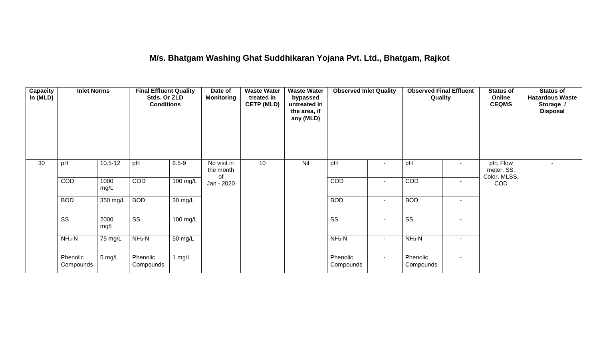### **M/s. Bhatgam Washing Ghat Suddhikaran Yojana Pvt. Ltd., Bhatgam, Rajkot**

| <b>Capacity</b><br>in (MLD) | <b>Inlet Norms</b>     |              | <b>Final Effluent Quality</b><br>Stds. Or ZLD<br><b>Conditions</b> |                    | Date of<br><b>Monitoring</b>   | <b>Waste Water</b><br>treated in<br><b>CETP (MLD)</b> | <b>Waste Water</b><br>bypassed<br>untreated in<br>the area, if<br>any (MLD) | <b>Observed Inlet Quality</b> |                | <b>Observed Final Effluent</b><br>Quality |                          | Online<br><b>CEQMS</b>                 | <b>Status of</b><br><b>Hazardous Waste</b><br>Storage /<br><b>Disposal</b> |
|-----------------------------|------------------------|--------------|--------------------------------------------------------------------|--------------------|--------------------------------|-------------------------------------------------------|-----------------------------------------------------------------------------|-------------------------------|----------------|-------------------------------------------|--------------------------|----------------------------------------|----------------------------------------------------------------------------|
| 30                          | pH                     | $10.5 - 12$  | pH                                                                 | $6.5 - 9$          | No visit in<br>the month<br>0f | 10                                                    | Nil                                                                         | pH                            | $\blacksquare$ | pH                                        | $\sim$                   | pH, Flow<br>meter, SS,<br>Color, MLSS, | ۰                                                                          |
|                             | COD                    | 1000<br>mg/L | COD                                                                | $100$ mg/L         | Jan - 2020                     |                                                       |                                                                             | COD                           | $\blacksquare$ | COD                                       | $\overline{\phantom{a}}$ | <b>COD</b>                             |                                                                            |
|                             | <b>BOD</b>             | 350 mg/L     | <b>BOD</b>                                                         | 30 mg/L            |                                |                                                       |                                                                             | <b>BOD</b>                    | $\blacksquare$ | <b>BOD</b>                                | $\overline{\phantom{a}}$ |                                        |                                                                            |
|                             | $\overline{\text{ss}}$ | 2000<br>mg/L | $\overline{\text{ss}}$                                             | $100 \text{ mg/L}$ |                                |                                                       |                                                                             | $\overline{\text{ss}}$        | $\blacksquare$ | $\overline{\text{ss}}$                    | $\sim$                   |                                        |                                                                            |
|                             | $NH3-N$                | 75 mg/L      | $NH3-N$                                                            | 50 mg/L            |                                |                                                       |                                                                             | $NH3-N$                       | $\blacksquare$ | $NH3-N$                                   | $\sim$                   |                                        |                                                                            |
|                             | Phenolic<br>Compounds  | 5 mg/L       | Phenolic<br>Compounds                                              | 1 $mg/L$           |                                |                                                       |                                                                             | Phenolic<br>Compounds         | $\sim$         | Phenolic<br>Compounds                     | $\sim$                   |                                        |                                                                            |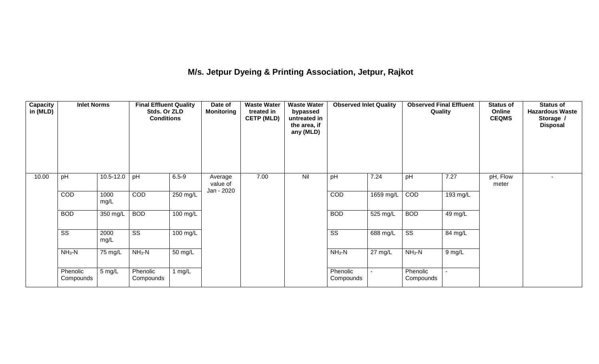# **M/s. Jetpur Dyeing & Printing Association, Jetpur, Rajkot**

| <b>Capacity</b><br>in (MLD) | <b>Inlet Norms</b>     |               | <b>Final Effluent Quality</b><br>Stds. Or ZLD<br><b>Conditions</b> |           | Date of<br><b>Monitoring</b>      | <b>Waste Water</b><br>treated in<br><b>CETP (MLD)</b> | <b>Waste Water</b><br>bypassed<br>untreated in<br>the area, if<br>any (MLD) | <b>Observed Inlet Quality</b> |                    | <b>Observed Final Effluent</b><br>Quality |          | <b>Status of</b><br>Online<br><b>CEQMS</b> | <b>Status of</b><br><b>Hazardous Waste</b><br>Storage /<br><b>Disposal</b> |
|-----------------------------|------------------------|---------------|--------------------------------------------------------------------|-----------|-----------------------------------|-------------------------------------------------------|-----------------------------------------------------------------------------|-------------------------------|--------------------|-------------------------------------------|----------|--------------------------------------------|----------------------------------------------------------------------------|
| 10.00                       | pH                     | $10.5 - 12.0$ | pH                                                                 | $6.5 - 9$ | Average<br>value of<br>Jan - 2020 | 7.00                                                  | Nil                                                                         | pH                            | 7.24               | pH                                        | 7.27     | pH, Flow<br>meter                          |                                                                            |
|                             | COD                    | 1000<br>mg/L  | COD                                                                | 250 mg/L  |                                   |                                                       |                                                                             | COD                           | 1659 mg/L          | COD                                       | 193 mg/L |                                            |                                                                            |
|                             | <b>BOD</b>             | 350 mg/L      | <b>BOD</b>                                                         | 100 mg/L  |                                   |                                                       |                                                                             | <b>BOD</b>                    | $525 \text{ mg/L}$ | <b>BOD</b>                                | 49 mg/L  |                                            |                                                                            |
|                             | $\overline{\text{SS}}$ | 2000<br>mg/L  | $\overline{\text{ss}}$                                             | 100 mg/L  |                                   |                                                       |                                                                             | $\overline{\text{ss}}$        | 688 mg/L           | $\overline{\text{ss}}$                    | 84 mg/L  |                                            |                                                                            |
|                             | $NH3-N$                | 75 mg/L       | $NH3-N$                                                            | 50 mg/L   |                                   |                                                       |                                                                             | $NH3-N$                       | 27 mg/L            | $NH3-N$                                   | 9 mg/L   |                                            |                                                                            |
|                             | Phenolic<br>Compounds  | 5 mg/L        | Phenolic<br>Compounds                                              | 1 $mg/L$  |                                   |                                                       |                                                                             | Phenolic<br>Compounds         |                    | Phenolic<br>Compounds                     |          |                                            |                                                                            |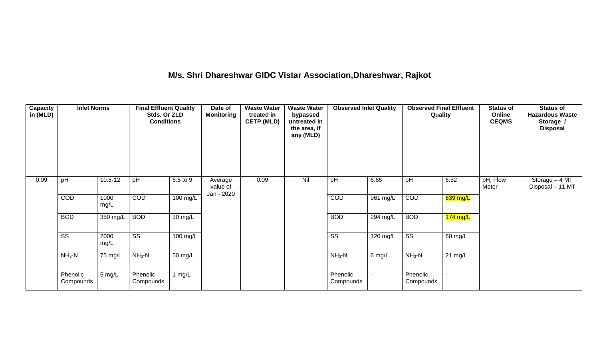# **M/s. Shri Dhareshwar GIDC Vistar Association,Dhareshwar, Rajkot**

| <b>Capacity</b><br>in (MLD) | <b>Inlet Norms</b>     |              | <b>Final Effluent Quality</b><br>Stds. Or ZLD<br><b>Conditions</b> |                      | Date of<br><b>Monitoring</b>      | <b>Waste Water</b><br>treated in<br><b>CETP (MLD)</b> | <b>Waste Water</b><br>bypassed<br>untreated in<br>the area, if<br>any (MLD) | <b>Observed Inlet Quality</b> |            | <b>Observed Final Effluent</b><br>Quality |                   | <b>Status of</b><br>Online<br><b>CEQMS</b> | <b>Status of</b><br><b>Hazardous Waste</b><br>Storage /<br><b>Disposal</b> |
|-----------------------------|------------------------|--------------|--------------------------------------------------------------------|----------------------|-----------------------------------|-------------------------------------------------------|-----------------------------------------------------------------------------|-------------------------------|------------|-------------------------------------------|-------------------|--------------------------------------------|----------------------------------------------------------------------------|
| 0.09                        | pH                     | $10.5 - 12$  | pH                                                                 | 6.5 to 9             | Average<br>value of<br>Jan - 2020 | 0.09                                                  | Nil                                                                         | pH                            | 6.66       | pH                                        | 6.52              | pH, Flow<br>Meter                          | Storage - 4 MT<br>Disposal - 11 MT                                         |
|                             | COD                    | 1000<br>mg/L | COD                                                                | 100 mg/L             |                                   |                                                       |                                                                             | COD                           | 961 mg/L   | COD                                       | 639 mg/L          |                                            |                                                                            |
|                             | <b>BOD</b>             | 350 mg/L     | <b>BOD</b>                                                         | $\overline{30}$ mg/L |                                   |                                                       |                                                                             | <b>BOD</b>                    | 294 mg/L   | <b>BOD</b>                                | $174$ mg/L        |                                            |                                                                            |
|                             | $\overline{\text{ss}}$ | 2000<br>mg/L | $\overline{\text{ss}}$                                             | 100 mg/L             |                                   |                                                       |                                                                             | $\overline{\text{ss}}$        | $120$ mg/L | $\overline{\text{ss}}$                    | 60 mg/L           |                                            |                                                                            |
|                             | $NH3-N$                | 75 mg/L      | $NH3-N$                                                            | $\overline{50}$ mg/L |                                   |                                                       |                                                                             | $NH_3-N$                      | 6 mg/L     | $NH_3-N$                                  | $21 \text{ mg/L}$ |                                            |                                                                            |
|                             | Phenolic<br>Compounds  | 5 mg/L       | Phenolic<br>Compounds                                              | 1 $mg/L$             |                                   |                                                       |                                                                             | Phenolic<br>Compounds         |            | Phenolic<br>Compounds                     |                   |                                            |                                                                            |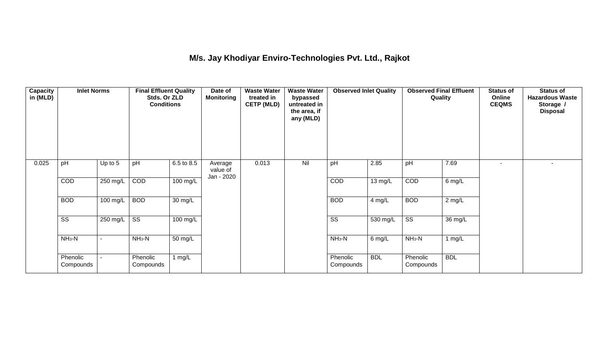## **M/s. Jay Khodiyar Enviro-Technologies Pvt. Ltd., Rajkot**

| <b>Capacity</b><br>in (MLD) | <b>Inlet Norms</b><br>pH<br>Up to 5 |                          | <b>Final Effluent Quality</b><br>Stds. Or ZLD<br><b>Conditions</b> |            | Date of<br><b>Monitoring</b>      | <b>Waste Water</b><br>treated in<br><b>CETP (MLD)</b> | <b>Waste Water</b><br>bypassed<br>untreated in<br>the area, if<br>any (MLD) | <b>Observed Inlet Quality</b> |                   | <b>Observed Final Effluent</b><br>Quality |            | <b>Status of</b><br>Online<br><b>CEQMS</b> | <b>Status of</b><br><b>Hazardous Waste</b><br>Storage /<br><b>Disposal</b> |
|-----------------------------|-------------------------------------|--------------------------|--------------------------------------------------------------------|------------|-----------------------------------|-------------------------------------------------------|-----------------------------------------------------------------------------|-------------------------------|-------------------|-------------------------------------------|------------|--------------------------------------------|----------------------------------------------------------------------------|
| 0.025                       |                                     |                          | pH                                                                 | 6.5 to 8.5 | Average<br>value of<br>Jan - 2020 | 0.013                                                 | Nil                                                                         | pH                            | 2.85              | pH                                        | 7.69       | ٠                                          |                                                                            |
|                             | COD                                 | 250 mg/L                 | COD                                                                | $100$ mg/L |                                   |                                                       |                                                                             | COD                           | $13 \text{ mg/L}$ | COD                                       | 6 mg/L     |                                            |                                                                            |
|                             | <b>BOD</b>                          | 100 mg/L                 | <b>BOD</b>                                                         | 30 mg/L    |                                   |                                                       |                                                                             | <b>BOD</b>                    | $4$ mg/L          | <b>BOD</b>                                | $2$ mg/L   |                                            |                                                                            |
|                             | $\overline{\text{ss}}$              | 250 mg/L                 | $\overline{\text{ss}}$                                             | 100 mg/L   |                                   |                                                       |                                                                             | $\overline{\text{ss}}$        | 530 mg/L          | $\overline{\text{ss}}$                    | 36 mg/L    |                                            |                                                                            |
|                             | $NH3-N$                             | $\overline{\phantom{a}}$ | $\overline{\text{NH}}_3\text{-N}$                                  | 50 mg/L    |                                   |                                                       |                                                                             | $NH3-N$                       | $6$ mg/L          | $NH3-N$                                   | 1 mg/L     |                                            |                                                                            |
|                             | Phenolic<br>Compounds               |                          | Phenolic<br>Compounds                                              | 1 $mg/L$   |                                   |                                                       |                                                                             | Phenolic<br>Compounds         | <b>BDL</b>        | Phenolic<br>Compounds                     | <b>BDL</b> |                                            |                                                                            |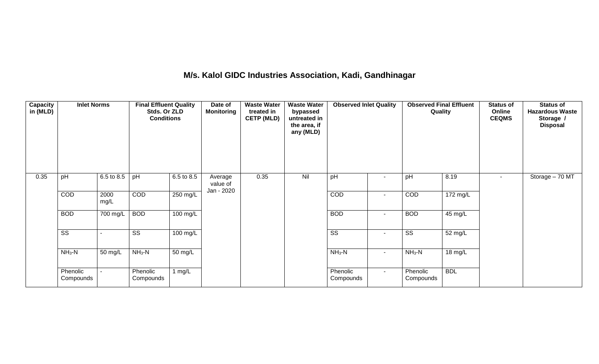### **M/s. Kalol GIDC Industries Association, Kadi, Gandhinagar**

| <b>Capacity</b><br>in (MLD) | <b>Inlet Norms</b>     |              | <b>Final Effluent Quality</b><br>Stds. Or ZLD<br><b>Conditions</b> |                       | Date of<br><b>Monitoring</b>      | <b>Waste Water</b><br>treated in<br><b>CETP (MLD)</b> | <b>Waste Water</b><br>bypassed<br>untreated in<br>the area, if<br>any (MLD) | <b>Observed Inlet Quality</b> |                          | <b>Observed Final Effluent</b><br>Quality |            | <b>Status of</b><br>Online<br><b>CEQMS</b> | <b>Status of</b><br><b>Hazardous Waste</b><br>Storage /<br><b>Disposal</b> |
|-----------------------------|------------------------|--------------|--------------------------------------------------------------------|-----------------------|-----------------------------------|-------------------------------------------------------|-----------------------------------------------------------------------------|-------------------------------|--------------------------|-------------------------------------------|------------|--------------------------------------------|----------------------------------------------------------------------------|
| 0.35                        | pH                     | 6.5 to 8.5   | pH                                                                 | 6.5 to 8.5            | Average<br>value of<br>Jan - 2020 | 0.35                                                  | Nil                                                                         | pH                            |                          | pH                                        | 8.19       |                                            | Storage - 70 MT                                                            |
|                             | COD                    | 2000<br>mg/L | COD                                                                | 250 mg/L              |                                   |                                                       |                                                                             | COD                           | $\overline{\phantom{a}}$ | COD                                       | 172 mg/L   |                                            |                                                                            |
|                             | <b>BOD</b>             | 700 mg/L     | <b>BOD</b>                                                         | $100 \text{ mg/L}$    |                                   |                                                       |                                                                             | <b>BOD</b>                    | $\sim$                   | <b>BOD</b>                                | 45 mg/L    |                                            |                                                                            |
|                             | $\overline{\text{ss}}$ |              | $\overline{\text{ss}}$                                             | $\overline{100}$ mg/L |                                   |                                                       |                                                                             | $\overline{\text{ss}}$        | $\overline{\phantom{a}}$ | $\overline{\text{ss}}$                    | 52 mg/L    |                                            |                                                                            |
|                             | $NH_3-N$               | 50 mg/L      | $NH3-N$                                                            | 50 mg/L               |                                   |                                                       |                                                                             | $NH_3-N$                      | $\sim$                   | $NH_3-N$                                  | 18 mg/L    |                                            |                                                                            |
|                             | Phenolic<br>Compounds  |              | Phenolic<br>Compounds                                              | 1 $mg/L$              |                                   |                                                       |                                                                             | Phenolic<br>Compounds         | $\sim$                   | Phenolic<br>Compounds                     | <b>BDL</b> |                                            |                                                                            |